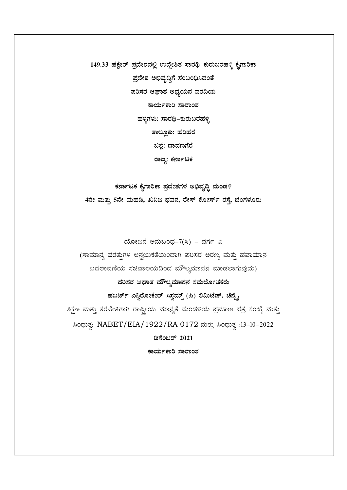149.33 ಹೆಕ್ಟೇರ್ ಪ್ರದೇಶದಲ್ಲಿ ಉದ್ದೇಶಿತ ಸಾರಥಿ-ಕುರುಬರಹಳ್ಳಿ ಕೈಗಾರಿಕಾ ಪ್ರದೇಶ ಅಭಿವೃದ್ಧಿಗೆ ಸಂಬಂಧಿಸಿದಂತೆ ಪರಿಸರ ಆಘಾತ ಅಧ್ಯಯನ ವರದಿಯ ಕಾರ್ಯಕಾರಿ ಸಾರಾಂಶ ಹಳ್ಳಿಗಳು: ಸಾರಥಿ–ಕುರುಬರಹಳ್ಳಿ ತಾಲ್ಲೂಕು: ಹರಿಹರ ಜಿಲ್ಲೆ: ದಾವಣಗೆರೆ ರಾಜ್ಯ: ಕರ್ನಾಟಕ

ಕರ್ನಾಟಕ ಕೈಗಾರಿಕಾ ಪ್ರದೇಶಗಳ ಅಭಿವೃದ್ಧಿ ಮಂಡಳಿ 4ನೇ ಮತ್ತು 5ನೇ ಮಹಡಿ, ಖನಿಜ ಭವನ, ರೇಸ್ ಕೋರ್ಸ್ ರಸ್ತೆ, ಬೆಂಗಳೂರು

ಯೋಜನೆ ಅನುಬಂಧ $-7(3)$  – ವರ್ಗ ಎ (ಸಾಮಾನ್ಯ ಷರತ್ತುಗಳ ಅನ್ವಯಿಕತೆಯಿಂದಾಗಿ ಪರಿಸರ ಅರಣ್ಯ ಮತ್ತು ಹವಾಮಾನ ಬದಲಾವಣೆಯ ಸಚಿವಾಲಯದಿಂದ ಮೌಲ್ಯಮಾಪನ ಮಾಡಲಾಗುವುದು) ಪರಿಸರ ಆಘಾತ ಮೌಲ್ಯಮಾಪನ ಸಮಲೋಚಕರು ಹಬರ್ಟ್ ಎನ್ವಿರೋಕೇರ್ ಸಿಸ್ವಮ್ಸ್ (ಪಿ) ಲಿಮಿಟೆಡ್, ಚೆನ್ನೈ ಸಿಂಧುತ್ವ: NABET/EIA/1922/RA 0172 ಮತ್ತು ಸಿಂಧುತ್ವ :13-10-2022

ಶಿಕ್ಷಣ ಮತ್ತು ತರಬೇತಿಗಾಗಿ ರಾಷ್ಟೀಯ ಮಾನ್ಯತೆ ಮಂಡಳಿಯ ಪ್ರಮಾಣ ಪತ್ರ ಸಂಖ್ಯೆ ಮತ್ತು

ಡಿಸೆಂಬರ್ 2021 ಕಾರ್ಯಕಾರಿ ಸಾರಾಂಶ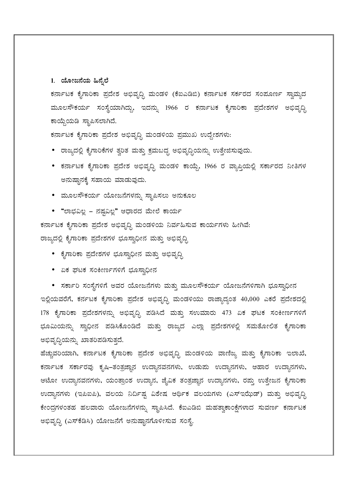## 1. ಯೋಜನೆಯ ಹಿನ್ನೆಲೆ

ಕರ್ನಾಟಕ ಕೈಗಾರಿಕಾ ಪ್ರದೇಶ ಅಭಿವೃದ್ಧಿ ಮಂಡಳಿ (ಕೆಐಎಡಿಬಿ) ಕರ್ನಾಟಕ ಸರ್ಕರದ ಸಂಪೂರ್ಣ ಸ್ವಾಮ್ಯದ ಮೂಲಸೌಕರ್ಯ ಸಂಸ್ಥೆಯಾಗಿದ್ದು, ಇದನ್ನು 1966 ರ ಕರ್ನಾಟಕ ಕೈಗಾರಿಕಾ ಪ್ರದೇಶಗಳ ಅಭಿವೃದ್ಧಿ ಕಾಯ್ದೆಯಡಿ ಸ್ಥಾಪಿಸಲಾಗಿದೆ.

ಕರ್ನಾಟಕ ಕೈಗಾರಿಕಾ ಪ್ರದೇಶ ಅಭಿವೃದ್ಧಿ ಮಂಡಳಿಯ ಪ್ರಮುಖ ಉದ್ದೇಶಗಳು:

- ರಾಜ್ಯದಲ್ಲಿ ಕೈಗಾರಿಕೆಗಳ ತ್ವರಿತ ಮತ್ತು ಕ್ರಮಬದ್ಧ ಅಭಿವೃದ್ಧಿಯನ್ನು ಉತ್ತೇಜಿಸುವುದು.
- ಕರ್ನಾಟಕ ಕೈಗಾರಿಕಾ ಪ್ರದೇಶ ಅಭಿವೃದ್ಧಿ ಮಂಡಳಿ ಕಾಯ್ದೆ, 1966 ರ ವ್ಯಾಪ್ತಿಯಲ್ಲಿ ಸರ್ಕಾರದ ನೀತಿಗಳ ಅನುಷ್ಠಾನಕ್ಕೆ ಸಹಾಯ ಮಾಡುವುದು.
- ಮೂಲಸೌಕರ್ಯ ಯೋಜನೆಗಳನ್ನು ಸ್ಥಾಪಿಸಲು ಅನುಕೂಲ
- "ಲಾಭವಿಲ್ಲ ನಷ್ಪವಿಲ್ಲ" ಆಧಾರದ ಮೇಲೆ ಕಾರ್ಯ

ಕರ್ನಾಟಕ ಕೈಗಾರಿಕಾ ಪ್ರದೇಶ ಅಭಿವೃದ್ಧಿ ಮಂಡಳಿಯ ನಿರ್ವಹಿಸುವ ಕಾರ್ಯಗಳು ಹೀಗಿವೆ: ರಾಜ್ಯದಲ್ಲಿ ಕೈಗಾರಿಕಾ ಪ್ರದೇಶಗಳ ಭೂಸ್ವಾಧೀನ ಮತ್ತು ಅಭಿವೃದ್ಧಿ

- ಕೈಗಾರಿಕಾ ಪ್ರದೇಶಗಳ ಭೂಸ್ವಾಧೀನ ಮತ್ತು ಅಭಿವೃದ್ಧಿ
- ಏಕ ಘಟಕ ಸಂಕೀರ್ಣಗಳಿಗೆ ಭೂಸ್ವಾಧೀನ

• ಸರ್ಕಾರಿ ಸಂಸ್ಥೆಗಳಿಗೆ ಅವರ ಯೋಜನೆಗಳು ಮತ್ತು ಮೂಲಸೌಕರ್ಯ ಯೋಜನೆಗಳಿಗಾಗಿ ಭೂಸ್ವಾಧೀನ ಇಲ್ಲಿಯವರೆಗೆ, ಕರ್ನಟಕ ಕೈಗಾರಿಕಾ ಪ್ರದೇಶ ಅಭಿವೃದ್ಧಿ ಮಂಡಳಿಯು ರಾಜ್ಯಾದ್ಯಂತ 40,000 ಎಕರೆ ಪ್ರದೇಶದಲ್ಲಿ 178 ಕೈಗಾರಿಕಾ ಪ್ರದೇಶಗಳನ್ನು ಅಭಿವೃದ್ಧಿ ಪಡಿಸಿದೆ ಮತ್ತು ಸಉಮಾರು 473 ಏಕ ಘಟಕ ಸಂಕೀರ್ಣಗಳಿಗೆ ಭೂಮಿಯನ್ನು ಸ್ವಾಧೀನ ಪಡಿಸಿಕೊಂಡಿದೆ ಮತ್ತು ರಾಜ್ಯದ ಎಲ್ಲಾ ಪ್ರದೇಶಗಳಲ್ಲಿ ಸಮತೋಲಿತ ಕೈಗಾರಿಕಾ ಅಭಿವೃದ್ಧಿಯನ್ನು ಖಾತರಿಪಡಿಸುತ್ತದೆ.

ಹೆಚ್ಚುವರಿಯಾಗಿ, ಕರ್ನಾಟಕ ಕೈಗಾರಿಕಾ ಪ್ರದೇಶ ಅಭಿವೃದ್ಧಿ ಮಂಡಳಿಯ ವಾಣಿಜ್ಯ ಮತ್ತು ಕೈಗಾರಿಕಾ ಇಲಾಖೆ, ಕರ್ನಾಟಕ ಸರ್ಕಾರವು ಕೃಷಿ–ತಂತ್ರಜ್ಞಾನ ಉದ್ಯಾನವನಗಳು, ಉಡುಮ ಉದ್ಯಾನಗಳು, ಆಹಾರ ಉದ್ಯಾನಗಳು, ಆಟೋ ಉದ್ಯಾನವನಗಳು, ಯಂತ್ರಾಂಶ ಉದ್ಯಾನ, ಜೈವಿಕ ತಂತ್ರಜ್ಞಾನ ಉದ್ಯಾನಗಳು, ರಪ್ತು ಉತ್ತೇಜನ ಕೈಗಾರಿಕಾ ಉದ್ಯಾನಗಳು (ಇಪಿಐಪಿ), ವಲಯ ನಿರ್ದಿಷ್ಟ ವಿಶೇಷ ಆರ್ಥಿಕ ವಲಯಗಳು (ಎಸ್ಇಝೆಡ್) ಮತ್ತು ಅಭಿವೃದ್ಧಿ ಕೇಂದ್ರಗಳಂತಹ ಹಲವಾರು ಯೋಜನೆಗಳನ್ನು ಸ್ಥಾಪಿಸಿದೆ. ಕೆಐಎಡಿಬಿ ಮಹತ್ವಾಕಾಂಕ್ಷೆಗಳಾದ ಸುವರ್ಣ ಕರ್ನಾಟಕ ಅಭಿವೃದ್ಧಿ (ಎಸ್ಕ್ಡಾಸಿ) ಯೋಜನೆಗೆ ಅನುಷ್ಠಾನಗೊಳೀಸುವ ಸಂಸ್ಥೆ.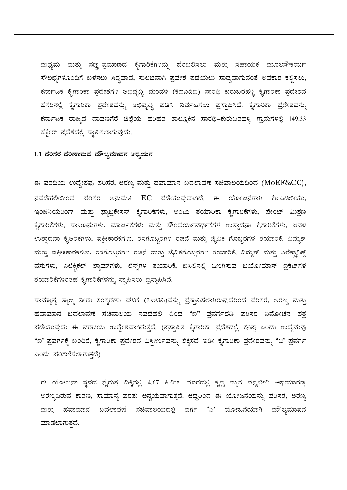ಮಧ್ಯಮ ಮತ್ತು ಸಣ್ಣ–ಪ್ರಮಾಣದ ಕೈಗಾರಿಕೆಗಳನ್ನು ಬೆಂಬಲಿಸಲು ಮತ್ತು ಸಹಾಯಕ ಮೂಲಸೌಕರ್ಯ ಸೌಲಭ್ಯಗಳೊಂದಿಗೆ ಬಳಸಲು ಸಿದ್ಧವಾದ, ಸುಲಭವಾಗಿ ಪ್ರವೇಶ ಪಡೆಯಲು ಸಾಧ್ಯವಾಗುವಂತೆ ಅವಕಾಶ ಕಲ್ಪಿಸಲು, ಕರ್ನಾಟಕ ಕೈಗಾರಿಕಾ ಪ್ರದೇಶಗಳ ಅಭಿವೃದ್ಧಿ ಮಂಡಳಿ (ಕೆಐಎಡಿಬಿ) ಸಾರಥಿ–ಕುರುಬರಹಳ್ಳಿ ಕೈಗಾರಿಕಾ ಪ್ರದೇಶದ ಹೆಸರಿನಲ್ಲಿ ಕೈಗಾರಿಕಾ ಪ್ರದೇಶವನ್ನು ಅಭಿವೃದ್ಧಿ ಪಡಿಸಿ ನಿರ್ವಹಿಸಲು ಪ್ರಸ್ತಾಪಿಸಿದೆ. ಕೈಗಾರಿಕಾ ಪ್ರದೇಶವನ್ನು ಕರ್ನಾಟಕ ರಾಜ್ಯದ ದಾವಣಗೆರೆ ಜಿಲ್ಲೆಯ ಹರಿಹರ ತಾಲ್ಲೂಕಿನ ಸಾರಥಿ–ಕುರುಬರಹಳ್ಳಿ ಗ್ರಾಮಗಳಲ್ಲಿ 149.33 ಹೆಕ್ಟೇರ್ ಪ್ರದೆಶದಲ್ಲಿ ಸ್ಥಾಪಿಸಲಾಗುವುದು.

## 1.1 ಪರಿಸರ ಪರಿಣಾಮದ ಮೌಲ್ಯಮಾಪನ ಅಧ್ಯಯನ

ಈ ವರದಿಯ ಉದ್ದೇಶವು ಪರಿಸರ, ಅರಣ್ಯ ಮತ್ತು ಹವಾಮಾನ ಬದಲಾವಣೆ ಸಚಿವಾಲಯದಿಂದ (MoEF&CC), ನವದೆಹಲಿಯಿಂದ ಪರಿಸರ ಅನುಮತಿ EC ಪಡೆಯುವುದಾಗಿದೆ. ಈ ಯೋಜನೆಗಾಗಿ ಕೆಐಎಡಿಬಿಯು, ಇಂಜಿನಿಯರಿಂಗ್ ಮತ್ತು ಫ್ಯಾಬ್ರಿಕೇಸನ್ ಕೈಗಾರಿಕೆಗಳು, ಅಂಟು ತಯಾರಿಕಾ ಕೈಗಾರಿಕೆಗಳು, ಪೇಂಟ್ ಮಿಶ್ರಣ ಕೈಗಾರಿಕೆಗಳು, ಸಾಬೂನುಗಳು, ಮಾರ್ಜಕಗಳು ಮತ್ತು ಸೌಂದರ್ಯವರ್ಧಕಗಳ ಉತ್ಪಾದನಾ ಕೈಗಾರಿಕೆಗಳು, ಜವಳಿ ಉತ್ಪಾದನಾ ಕೈಆರಿಕಗಳು, ವಕ್ರೀಕಾರಕಗಳು, ರಸಗೊಬ್ಬರಗಳ ರಚನೆ ಮತ್ತು ಜೈವಿಕ ಗೊಬ್ಬರಗಳ ತಯಾರಿಕೆ, ವಿದ್ಯುತ್ ಮತ್ತು ವಕ್ರೀಕಕಾರಕಗಳು, ರಸಗೊಬ್ಬರಗಳ ರಚನೆ ಮತ್ತು ಜೈವಿಕಗೊಬ್ಬರಗಳ ತಯಾರಿಕೆ, ವಿದ್ಯುತ್ ಮತ್ತು ಎಲೆಕ್ಟಾನಿಕ್ಸ್ ವಸ್ತುಗಳು, ಎಲೆಕ್ಟಿಕಲ್ ಲ್ಯಾಮ್ಗಳು, ಲೆನ್ಸ್ಗಳ ತಯಾರಿಕೆ, ಬಿಸಿಲಿನಲ್ಲಿ ಒಣಗಿಸುವ ಬಯೋಮಾಸ್ ಬ್ರಿಕೆಟ್ಗಳ ತಯಾರಿಕೆಗಳಂತಹ ಕೈಗಾರಿಕೆಗಳನ್ನು ಸ್ಥಾಪಿಸಲು ಪ್ರಸ್ತಾಪಿಸಿದೆ.

ಸಾಮ್ಯಾನ್ಯ ತ್ಯಾಜ್ಯ ನೀರು ಸಂಸ್ಕರಣಾ ಘಟಕ (ಸಿಇಟಿಪಿ)ವನ್ನು ಪ್ರಸ್ತಾಪಿಸಲಾಗಿರುವುದರಿಂದ ಪರಿಸರ, ಅರಣ್ಯ ಮತ್ತು ಹವಾಮಾನ ಬದಲಾವಣೆ ಸಚಿವಾಲಯ ನವದೆಹಲಿ ದಿಂದ "ಬಿ" ಪ್ರವರ್ಗದಡಿ ಪರಿಸರ ವಿಮೋಚನ ಪತ್ರ ಪಡೆಯುವುದು ಈ ವರದಿಯ ಉದ್ದೇಶವಾಗಿರುತ್ತದೆ. (ಪ್ರಸ್ತಾಪಿತ ಕೈಗಾರಿಕಾ ಪ್ರದೆಶದಲ್ಲಿ ಕನಿಷ್ಠ ಒಂದು ಉದ್ಯಮವು "ಬಿ' ಪ್ರವರ್ಗಕ್ಕೆ ಬಂದಿರೆ, ಕೈಗಾರಿಕಾ ಪ್ರದೇಶದ ವಿಸ್ತೀರ್ಣವನ್ನು ಲೆಕ್ಕಿಸದೆ ಇಡೀ ಕೈಗಾರಿಕಾ ಪ್ರದೇಶವನ್ನು "ಬಿ' ಪ್ರವರ್ಗ ಎಂದು ಪರಿಗಣಿಸಲಾಗುತ್ತದೆ).

ಈ ಯೋಜನಾ ಸ್ಥಳದ ನೈರುತ್ಯ ದಿಕ್ಕಿನಲ್ಲಿ 4.67 ಕಿ.ಮೀ. ದೂರದಲ್ಲಿ ಕೃಷ್ಣ ಮೃಗ ವನ್ಯಜೀವಿ ಅಭಯಾರಣ್ಯ ಅರಣ್ಯವಿರುವ ಕಾರಣ, ಸಾಮಾನ್ಯ ಷರತ್ತು ಅನ್ವಯವಾಗುತ್ತದೆ. ಆದ್ದರಿಂದ ಈ ಯೋಜನೆಯನ್ನು ಪರಿಸರ, ಅರಣ್ಯ ಮತ್ತು ಹವಾಮಾನ ಬದಲಾವಣೆ ಸಚಿವಾಲಯದಲ್ಲಿ ವರ್ಗ 'ಎ' ಯೋಜನೆಯಾಗಿ ಮೌಲ್ಯಮಾಪನ ಮಾಡಲಾಗುತ್ತದೆ.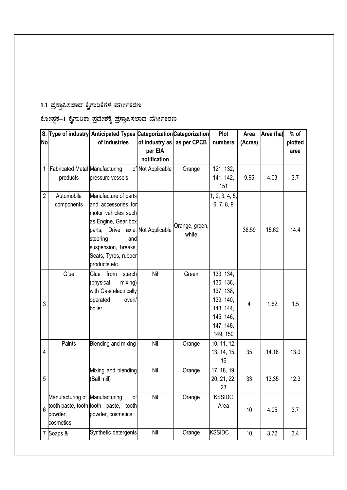# 1.1 ಪ್ರಸ್ತಾಪಿಸಲಾದ ಕೈಗಾರಿಕೆಗಳ ವರ್ಗೀಕರಣ

# ಕೋಷ್ಟಕ–1 ಕೈಗಾರಿಕಾ ಪ್ರದೇಶಕ್ಕೆ ಪ್ರಸ್ತಾಪಿಸಲಾದ ವರ್ಗೀಕರಣ

|                |                                       | S. Type of industry Anticipated Types Categorization Categorization |                            |                         | Plot           | Area    | Area (ha) | $%$ of  |
|----------------|---------------------------------------|---------------------------------------------------------------------|----------------------------|-------------------------|----------------|---------|-----------|---------|
| <b>No</b>      |                                       | of Industries                                                       | of industry as as per CPCB |                         | numbers        | (Acres) |           | plotted |
|                |                                       |                                                                     | per EIA                    |                         |                |         |           | area    |
|                |                                       |                                                                     | notification               |                         |                |         |           |         |
| 1              | <b>Fabricated Metal Manufacturing</b> |                                                                     | of Not Applicable          | Orange                  | 121, 132,      |         |           |         |
|                | products                              | pressure vessels                                                    |                            |                         | 141, 142,      | 9.95    | 4.03      | 3.7     |
|                |                                       |                                                                     |                            |                         | 151            |         |           |         |
| $\overline{2}$ | Automobile                            | Manufacture of parts                                                |                            |                         | 1, 2, 3, 4, 5, |         |           |         |
|                | components                            | and accessories for                                                 |                            |                         | 6, 7, 8, 9     |         |           |         |
|                |                                       | motor vehicles such                                                 |                            |                         |                |         |           |         |
|                |                                       | as Engine, Gear box                                                 |                            |                         |                |         |           |         |
|                |                                       | parts, Drive axle, Not Applicable                                   |                            | Orange, green,<br>white |                | 38.59   | 15.62     | 14.4    |
|                |                                       | steering<br>and                                                     |                            |                         |                |         |           |         |
|                |                                       | suspension, breaks,                                                 |                            |                         |                |         |           |         |
|                |                                       | Seats, Tyres, rubber                                                |                            |                         |                |         |           |         |
|                |                                       | products etc                                                        |                            |                         |                |         |           |         |
|                | Glue                                  | from<br>starch<br>Glue                                              | Nil                        | Green                   | 133, 134,      |         |           |         |
|                |                                       | (physical<br>mixing)                                                |                            |                         | 135, 136,      |         |           |         |
|                |                                       | with Gas/ electrically                                              |                            |                         | 137, 138,      |         |           |         |
| 3              |                                       | operated<br>oven/                                                   |                            |                         | 139, 140,      | 4       | 1.62      | 1.5     |
|                |                                       | boiler                                                              |                            |                         | 143, 144,      |         |           |         |
|                |                                       |                                                                     |                            |                         | 145, 146,      |         |           |         |
|                |                                       |                                                                     |                            |                         | 147, 148,      |         |           |         |
|                |                                       |                                                                     |                            |                         | 149, 150       |         |           |         |
|                | Paints                                | Blending and mixing                                                 | Nil                        | Orange                  | 10, 11, 12,    |         |           |         |
| 4              |                                       |                                                                     |                            |                         | 13, 14, 15,    | 35      | 14.16     | 13.0    |
|                |                                       |                                                                     |                            |                         | 16             |         |           |         |
|                |                                       | Mixing and blending                                                 | Nil                        | Orange                  | 17, 18, 19,    |         |           |         |
| 5              |                                       | (Ball mill)                                                         |                            |                         | 20, 21, 22,    | 33      | 13.35     | 12.3    |
|                |                                       |                                                                     |                            |                         | 23             |         |           |         |
|                | Manufacturing of Manufacturing        | οf                                                                  | Nil                        | Orange                  | <b>KSSIDC</b>  |         |           |         |
| 6              |                                       | tooth paste, tooth tooth paste, tooth                               |                            |                         | Area           | 10      | 4.05      | 3.7     |
|                | powder,                               | powder, cosmetics                                                   |                            |                         |                |         |           |         |
|                | cosmetics                             |                                                                     |                            |                         |                |         |           |         |
|                | 7 Soaps &                             | Synthetic detergents                                                | Nil                        | Orange                  | <b>KSSIDC</b>  | 10      | 3.72      | 3.4     |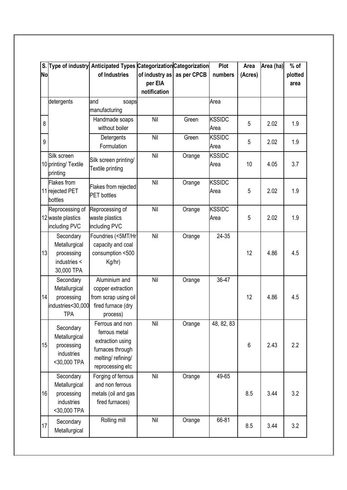|    |                                                                             | S. Type of industry Anticipated Types Categorization Categorization                                               |                         |             | Plot                  | Area    | Area (ha) | $%$ of  |
|----|-----------------------------------------------------------------------------|-------------------------------------------------------------------------------------------------------------------|-------------------------|-------------|-----------------------|---------|-----------|---------|
| No |                                                                             | of Industries                                                                                                     | of industry as          | as per CPCB | numbers               | (Acres) |           | plotted |
|    |                                                                             |                                                                                                                   | per EIA<br>notification |             |                       |         |           | area    |
|    | detergents                                                                  | and<br>soaps                                                                                                      |                         |             | Area                  |         |           |         |
|    |                                                                             | manufacturing                                                                                                     |                         |             |                       |         |           |         |
| 8  |                                                                             | Handmade soaps<br>without boiler                                                                                  | Nil                     | Green       | <b>KSSIDC</b><br>Area | 5       | 2.02      | 1.9     |
| 9  |                                                                             | Detergents<br>Formulation                                                                                         | Nil                     | Green       | <b>KSSIDC</b><br>Area | 5       | 2.02      | 1.9     |
|    | Silk screen<br>10 printing/ Textile<br>printing                             | Silk screen printing/<br>Textile printing                                                                         | Nil                     | Orange      | <b>KSSIDC</b><br>Area | 10      | 4.05      | 3.7     |
|    | <b>Flakes</b> from<br>11 rejected PET<br>bottles                            | Flakes from rejected<br><b>PET</b> bottles                                                                        | Nil                     | Orange      | <b>KSSIDC</b><br>Area | 5       | 2.02      | 1.9     |
|    | Reprocessing of<br>12 waste plastics<br>including PVC                       | Reprocessing of<br>waste plastics<br>including PVC                                                                | Nil                     | Orange      | <b>KSSIDC</b><br>Area | 5       | 2.02      | 1.9     |
| 13 | Secondary<br>Metallurgical<br>processing<br>industries <<br>30,000 TPA      | Foundries (<5MT/Hr<br>capacity and coal<br>consumption <500<br>Kg/hr)                                             | Nil                     | Orange      | 24-35                 | 12      | 4.86      | 4.5     |
| 14 | Secondary<br>Metallurgical<br>processing<br>industries<30,000<br><b>TPA</b> | Aluminium and<br>copper extraction<br>from scrap using oil<br>fired furnace (dry<br>process)                      | Nil                     | Orange      | 36-47                 | 12      | 4.86      | 4.5     |
| 15 | Secondary<br>Metallurgical<br>processing<br>industries<br><30,000 TPA       | Ferrous and non<br>ferrous metal<br>extraction using<br>furnaces through<br>melting/refining/<br>reprocessing etc | Nil                     | Orange      | 48, 82, 83            | 6       | 2.43      | 2.2     |
| 16 | Secondary<br>Metallurgical<br>processing<br>industries<br><30,000 TPA       | Forging of ferrous<br>and non ferrous<br>metals (oil and gas<br>fired furnaces)                                   | Nil                     | Orange      | 49-65                 | 8.5     | 3.44      | 3.2     |
| 17 | Secondary<br>Metallurgical                                                  | Rolling mill                                                                                                      | Nil                     | Orange      | 66-81                 | 8.5     | 3.44      | 3.2     |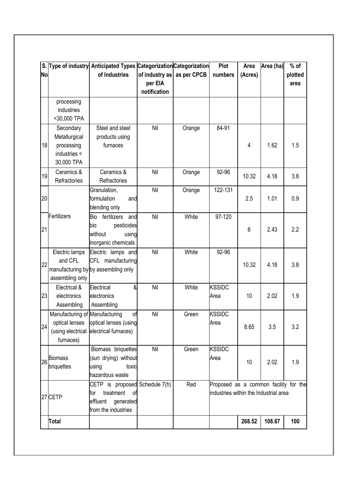|    |                                | S. Type of industry Anticipated Types Categorization Categorization |                |             | Plot                                  | Area    | Area (ha) | $%$ of  |
|----|--------------------------------|---------------------------------------------------------------------|----------------|-------------|---------------------------------------|---------|-----------|---------|
| No |                                | of Industries                                                       | of industry as | as per CPCB | numbers                               | (Acres) |           | plotted |
|    |                                |                                                                     | per EIA        |             |                                       |         |           | area    |
|    |                                |                                                                     | notification   |             |                                       |         |           |         |
|    | processing                     |                                                                     |                |             |                                       |         |           |         |
|    | industries                     |                                                                     |                |             |                                       |         |           |         |
|    | <30,000 TPA                    |                                                                     |                |             |                                       |         |           |         |
|    | Secondary                      | Steel and steel                                                     | Nil            | Orange      | 84-91                                 |         |           |         |
|    | Metallurgical                  | products using                                                      |                |             |                                       |         |           |         |
| 18 | processing                     | furnaces                                                            |                |             |                                       | 4       | 1.62      | 1.5     |
|    | industries <                   |                                                                     |                |             |                                       |         |           |         |
|    | 30,000 TPA                     |                                                                     |                |             |                                       |         |           |         |
| 19 | Ceramics &                     | Ceramics &                                                          | Nil            | Orange      | 92-96                                 | 10.32   | 4.18      | 3.8     |
|    | Refractories                   | Refractories                                                        |                |             |                                       |         |           |         |
|    |                                | Granulation,                                                        | Nil            | Orange      | 122-131                               |         |           |         |
| 20 |                                | formulation<br>and                                                  |                |             |                                       | 2.5     | 1.01      | 0.9     |
|    |                                | blending only                                                       |                |             |                                       |         |           |         |
|    | Fertilizers                    | fertilizers<br>Bio<br>and                                           | Nil            | White       | 97-120                                |         |           |         |
| 21 |                                | pesticides<br>bio                                                   |                |             |                                       | 6       | 2.43      | 2.2     |
|    |                                | without<br>using                                                    |                |             |                                       |         |           |         |
|    |                                | inorganic chemicals                                                 |                |             |                                       |         |           |         |
|    | Electric lamps                 | Electric lamps and                                                  | Nil            | White       | 92-96                                 |         |           |         |
| 22 | and CFL                        | CFL manufacturing                                                   |                |             |                                       | 10.32   | 4.18      | 3.8     |
|    |                                | manufacturing by by assembling only                                 |                |             |                                       |         |           |         |
|    | assembling only                |                                                                     |                |             |                                       |         |           |         |
|    | Electrical &                   | Electrical<br>&                                                     | Nil            | White       | <b>KSSIDC</b>                         |         |           |         |
| 23 | electronics                    | electronics                                                         |                |             | Area                                  | 10      | 2.02      | 1.9     |
|    | Assembling                     | Assembling                                                          |                |             |                                       |         |           |         |
|    | Manufacturing of Manufacturing | of                                                                  | Nil            | Green       | <b>KSSIDC</b>                         |         |           |         |
| 24 | optical lenses                 | optical lenses (using                                               |                |             | Area                                  | 8.65    | 3.5       | 3.2     |
|    | (using electrical              | electrical furnaces)                                                |                |             |                                       |         |           |         |
|    | furnaces)                      |                                                                     |                |             |                                       |         |           |         |
|    |                                | Biomass briquettes                                                  | Nil            | Green       | <b>KSSIDC</b>                         |         |           |         |
| 26 | <b>Biomass</b>                 | (sun drying) without                                                |                |             | Area                                  | 10      | 2.02      | 1.9     |
|    | briquettes                     | toxic<br>using                                                      |                |             |                                       |         |           |         |
|    |                                | hazardous waste                                                     |                |             |                                       |         |           |         |
|    |                                | CETP is proposed Schedule 7(h)                                      |                | Red         | Proposed as a common facility for the |         |           |         |
|    | 27 CETP                        | treatment<br>ffor<br>οf                                             |                |             | industries within the Industrial area |         |           |         |
|    |                                | effluent<br>generated                                               |                |             |                                       |         |           |         |
|    |                                | from the industries                                                 |                |             |                                       |         |           |         |
|    | <b>Total</b>                   |                                                                     |                |             |                                       | 268.52  | 108.67    | 100     |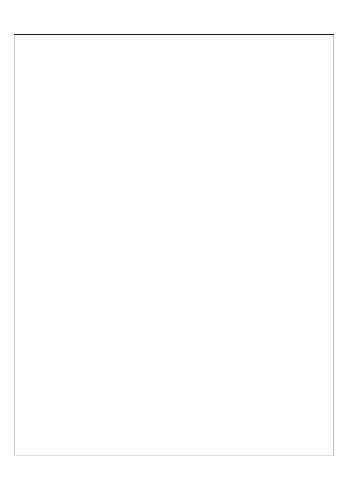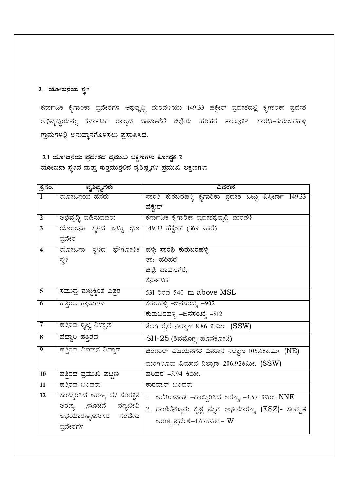## 2. ಯೋಜನೆಯ ಸ್ಥಳ

ಕರ್ನಾಟಕ ಕೈಗಾರಿಕಾ ಪ್ರದೇಶಗಳ ಅಭಿವೃದ್ಧಿ ಮಂಡಳಿಯು 149.33 ಹೆಕ್ಟೇರ್ ಪ್ರದೇಶದಲ್ಲಿ ಕೈಗಾರಿಕಾ ಪ್ರದೇಶ ಅಭಿವೃದ್ಧಿಯನ್ನು ಕರ್ನಾಟಕ ರಾಜ್ಯದ ದಾವಣಗೆರೆ ಜಿಲ್ಲೆಯ ಹರಿಹರ ತಾಲ್ಲೂಕಿನ ಸಾರಥಿ–ಕುರುಬರಹಳ್ಳಿ ಗ್ರಾಮಗಳಲ್ಲಿ ಅನುಷ್ಠಾನಗೊಳಿಸಲು ಪ್ರಸ್ತಾಪಿಸಿದೆ.

## 2.1 ಯೋಜನೆಯ ಪ್ರದೇಶದ ಪ್ರಮುಖ ಲಕ್ಷಣಗಳು ಕೋಷ್ಟಕ 2 ಯೋಜನಾ ಸ್ಥಳದ ಮತ್ತು ಸುತ್ತಮುತ್ತಲಿನ ವೈಶಿಷ್ಟ್ಯಗಳ ಪ್ರಮುಖ ಲಕ್ಷಣಗಳು

| ಕ್ರಸಂ. $\vert$          | <u>ವೈಶಿಷ್ಟ್ಯಗಳು</u>                                    | ವಿವರಣೆ                                                  |
|-------------------------|--------------------------------------------------------|---------------------------------------------------------|
|                         | ಯೋಜನೆಯ ಹೆಸರು                                           | ಸಾರತಿ ಕುರಬರಹಳ್ಳಿ ಕೈಗಾರಿಕಾ ಪ್ರದೇಶ ಒಟ್ಟು ವಿಸ್ತೀರ್ಣ 149.33 |
|                         |                                                        | ಹೆಕ್ರೇರ್                                                |
| $\overline{2}$          | ಅಭಿವೃದ್ಧಿ ಪಡಿಸುವವರು                                    | ಕರ್ನಾಟಕ ಕೈಗಾರಿಕಾ ಪ್ರದೇಶಭಿವೃದ್ಧಿ ಮಂಡಳಿ                   |
| $\overline{\mathbf{3}}$ | <u>ಯೋಜನಾ ಸ್ಥಳದ ಒಟ್ಟು ಭೂ 149.33 ಹೆಕ್ಟೇರ್ (369 ಎಕರೆ)</u> |                                                         |
|                         | ಪ್ರದೇಶ                                                 |                                                         |
| $\overline{4}$          | <u>ಯೋಜನಾ ಸ್ಥಳದ ಭೌಗೋಳಿಕ  </u>                           | ಹಳ್ಳಿ: ಸಾರಥಿ–ಕುರುಬರಹಳ್ಳಿ                                |
|                         | ಸ್ಥಳ                                                   | ತಾ:: ಹರಿಹರ                                              |
|                         |                                                        | ಜಿಲ್ಲೆ: ದಾವಣಗೆರೆ,                                       |
|                         |                                                        | ಕರ್ನಾಟಕ                                                 |
| 5                       | ಸಮುದ್ರ ಮಟ್ಟಕ್ಕಿಂತ ಎತ್ತರ                                | 531 800 540 m above MSL                                 |
| $\overline{6}$          | <u>ಹತ್ತಿರದ ಗ್ರಾಮಗಳು</u>                                | ಕರಲಹಳ್ಳಿ –ಜನಸಂಖ್ಯೆ –902                                 |
|                         |                                                        | ಕುರುಬರಹಳ್ಳಿ –ಜನಸಂಖ್ಯೆ –812                              |
| $\overline{7}$          | ಹತ್ತಿರದ ರೈಲ್ವೆ ನಿಲ್ದಾಣ                                 | ತೆಲಗಿ ರೈಲೆ ನಿಲ್ದಾಣ 8.86 ಕಿ.ಮೀ. (SSW)                    |
| $\overline{\mathbf{8}}$ | ಹೆದ್ದಾರಿ ಹತ್ತಿರದ                                       | $SH-25$ (ಶಿವಮೊಗ್ಗ–ಹೊಸಕೋಟೆ)                              |
| $\overline{9}$          | ಹತ್ತಿರದ ವಿಮಾನ ನಿಲ್ದಾಣ                                  | ಜಿಂದಾಲ್ ವಿಜಯನಗರ ವಿಮಾನ ನಿಲ್ದಾಣ 105.65ಕಿ.ಮೀ (NE)          |
|                         |                                                        | ಮಂಗಳೂರು ವಿಮಾನ ನಿಲ್ದಾಣ–206.92ಕಿಮೀ. (SSW)                 |
| 10                      | <u>ಹತ್ತಿರದ ಪ್ರಮುಖ ಪಟ್ಟಣ</u>                            | <u>ಹರಿಹರ –5.94 ಕಿಮೀ.</u>                                |
| $\overline{11}$         | ಹತ್ತಿರದ ಬಂದರು                                          | ಕಾರವಾರ್_ಬಂದರು                                           |
| $\overline{12}$         | <u>ಕಾಯ್ದಿರಿಸಿದ ಅರಣ್ಯ ದ/ ಸಂರಕ್ಷಿತ  </u>                 | 1. ಅಲಿಗಿಲವಾಡ –ಕಾಯ್ದಿರಿಸಿದ ಅರಣ್ಯ –3.57 ಕಿಮೀ. NNE         |
|                         | ಅರಣ್ಯ /ಸೂಚನೆ ವನ್ಯಜೀವಿ                                  | 2. ರಾಣಿಬೆನ್ನೂರು ಕೃಷ್ಣ ಮೃಗ ಅಭಯಾರಣ್ಯ (ESZ)- ಸಂರಕ್ಷಿತ      |
|                         | ಅಭಯಾರಣ್ಯ/ಪರಿಸರ ಸಂವೇದಿ                                  | ಅರಣ್ಯ ಪ್ರದೇಶ-4.67ಕಿಮೀ.- W                               |
|                         | ಪ್ರದೇಶಗಳ                                               |                                                         |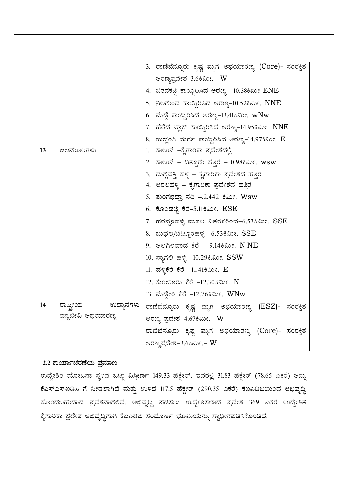|    |                      | 3. ರಾಣಿಬೆನ್ನೂರು ಕೃಷ್ಣ ಮೃಗ ಅಭಯಾರಣ್ಯ (Core)- ಸಂರಕ್ಷಿತ |  |  |  |  |  |
|----|----------------------|-----------------------------------------------------|--|--|--|--|--|
|    |                      | ಅರಣ್ಯಪ್ರದೇಶ–3.6ಕಿಮೀ.– W                             |  |  |  |  |  |
|    |                      | 4. ಜಿತನಕಟ್ಟಿ ಕಾಯ್ದಿರಿಸಿದ ಅರಣ್ಯ –10.38ಕಿಮೀ ENE       |  |  |  |  |  |
|    |                      | 5. ನಿಲಗುಂದ ಕಾಯ್ದಿರಿಸಿದ ಅರಣ್ಯ–10.52ಕಿಮೀ. NNE         |  |  |  |  |  |
|    |                      | 6. ಮೆಡ್ಲೆ ಕಾಯ್ದಿರಿಸಿದ ಅರಣ್ಯ–13.41ಕಿಮೀ. wNw          |  |  |  |  |  |
|    |                      | 7. ಹೆರೆದ ಬ್ಲಾಕ್ ಕಾಯ್ದಿರಿಸಿದ ಅರಣ್ಯ–14.95ಕಿಮೀ. NNE    |  |  |  |  |  |
|    |                      | 8. ಉಚ್ಚಂಗಿ ದುರ್ಗ ಕಾಯ್ದಿರಿಸಿದ ಅರಣ್ಯ–14.97ಕಿಮೀ. E     |  |  |  |  |  |
| 13 | ಜಲಮೂಲಗಳು             | 1. ಕಾಲುವೆ –ಕೈಗಾರಿಕಾ ಪ್ರದೇಶದಲ್ಲಿ                     |  |  |  |  |  |
|    |                      | 2. ಕಾಲುವೆ – ದಿತ್ತೂರು ಹತ್ತಿರ – 0.98ಕಿಮೀ. wsw         |  |  |  |  |  |
|    |                      | 3. ದುಗ್ಗವತ್ತಿ ಹಳ್ಳ – ಕೈಗಾರಿಕಾ ಪ್ರದೇಶದ ಹತ್ತಿರ        |  |  |  |  |  |
|    |                      | 4. ಅರಲಹಳ್ಳಿ – ಕೈಗಾರಿಕಾ ಪ್ರದೇಶದ ಹತ್ತಿರ               |  |  |  |  |  |
|    |                      | 5. ತುಂಗಭದ್ರಾ ನದಿ -.2.442 ಕಿಮೀ. Wsw                  |  |  |  |  |  |
|    |                      | 6. ಕೊಂಡಜ್ಜಿ ಕೆರೆ–5.11ಕಿಮೀ. ESE                      |  |  |  |  |  |
|    |                      | 7. ಹರಪ್ಪನಹಳ್ಳಿ ಮೂಲ ವಿತರಕರಿಂದ–6.53ಕಿಮೀ. SSE          |  |  |  |  |  |
|    |                      | 8. ಬುಧಲ/ಬೆಟ್ಟೂರಹಳ್ಳ –6.53ಕಿಮೀ. SSE                  |  |  |  |  |  |
|    |                      | 9. ಅಲಗಿಲವಾಡ ಕೆರೆ - 9.14ಕಿಮೀ. N NE                   |  |  |  |  |  |
|    |                      | 10. ಸ್ಯಾಗಲಿ ಹಳ್ಳಿ –10.29ಕಿ.ಮೀ. SSW                  |  |  |  |  |  |
|    |                      | 11. ಹಳ್ಳಿಕೆರೆ ಕೆರೆ -11.41ಕಿಮೀ. E                    |  |  |  |  |  |
|    |                      | 12. ಕುಂಚೂರು ಕೆರೆ -12.30ಕಿಮೀ. N                      |  |  |  |  |  |
|    |                      | 13. ಮೆಡ್ಲೇರಿ ಕೆರೆ –12.76ಕಿಮೀ. WNw                   |  |  |  |  |  |
| 14 | ರಾಷ್ಟೀಯ<br>ಉದ್ಯಾನಗಳು | ರಾಣಿಬೆನ್ನೂರು ಕೃಷ್ಣ ಮೃಗ ಅಭಯಾರಣ್ಯ (ESZ)- ಸಂರಕ್ಷಿತ     |  |  |  |  |  |
|    | ವನ್ಯಜೀವಿ ಅಭಯಾರಣ್ಯ    | ಅರಣ್ಯ ಪ್ರದೇಶ–4.67ಕಿಮೀ.– W                           |  |  |  |  |  |
|    |                      | ರಾಣಿಬೆನ್ನೂರು ಕೃಷ್ಣ ಮೃಗ ಅಭಯಾರಣ್ಯ (Core)- ಸಂರಕ್ಷಿತ    |  |  |  |  |  |
|    |                      | ಅರಣ್ಯಪ್ರದೇಶ–3.6ಕಿಮೀ.– W                             |  |  |  |  |  |
|    |                      |                                                     |  |  |  |  |  |

## 2.2 ಕಾರ್ಯಾಚರಣೆಯ ಪ್ರಮಾಣ

ಉದ್ದೇಶಿತ ಯೋಜನಾ ಸ್ಥಳದ ಒಟ್ಟು ವಿಸ್ತೀರ್ಣ 149.33 ಹೆಕ್ಟೇರ್. ಇದರಲ್ಲಿ 31.83 ಹೆಕ್ಟೇರ್ (78.65 ಎಕರೆ) ಅನ್ನು ಕೆಎಸ್ಎಸ್ಐಡಿಸಿ ಗೆ ನೀಡಲಾಗಿದೆ ಮತ್ತು ಉಳಿದ 117.5 ಹೆಕ್ಟೇರ್ (290.35 ಎಕರೆ) ಕೆಐಎಡಿಬಿಯಿಂದ ಅಭಿವೃದ್ಧಿ ಹೊಂದಬಹುದಾದ ಪ್ರದೆಶವಾಗಲಿದೆ. ಅಭಿವೃದ್ಧಿ ಪಡಿಸಲು ಉದ್ದೇಶಿಸಲಾದ ಪ್ರದೇಶ 369 ಎಕರೆ ಉದ್ದೇಶಿತ ಕೈಗಾರಿಕಾ ಪ್ರದೇಶ ಅಭಿವೃದ್ಧಿಗಾಗಿ ಕೆಐಎಡಿಬಿ ಸಂಪೂರ್ಣ ಭೂಮಿಯನ್ನು ಸ್ವಾಧೀನಪಡಿಸಿಕೊಂಡಿದೆ.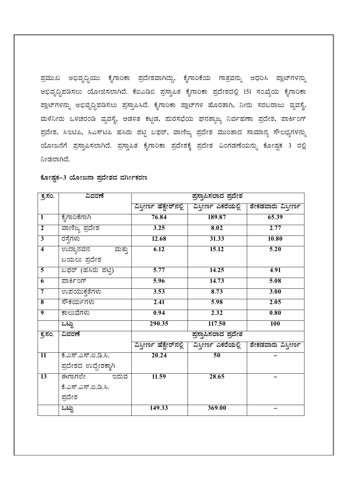ಪ್ರಮುಖ ಅಭಿವೃದ್ಧಿಯು ಕೈಗಾರಿಕಾ ಪ್ರದೇಶವಾಗಿದ್ದು, ಕೈಗಾರಿಕೆಯ ಗಾತ್ರವನ್ನು ಆಧರಿಸಿ ಪ್ಲಾಟ್ಗಳನ್ನು ಅಭಿವೃದ್ಧಿಪಡಿಸಲು ಯೋಜಿಸಲಾಗಿದೆ. ಕೆಐಎಡಿಬಿ ಪ್ರಸ್ತಾಪಿತ ಕೈಗಾರಿಕಾ ಪ್ರದೇಶದಲ್ಲಿ 151 ಸಂಖ್ಯೆಯ ಕೈಗಾರಿಕಾ ಪ್ಲಾಟ್ಗಳನ್ನು ಅಭಿವೃದ್ಧಿಪಡಿಸಲು ಪ್ರಸ್ತಾಪಿಸಿದೆ. ಕೈಗಾರಿಕಾ ಪ್ಲಾಟ್ಗಳ ಹೊರತಾಗಿ, ನೀರು ಸರಬರಾಜು ವ್ಯವಸ್ಥೆ, ಮಳೆನೀರು ಒಳಚರಂಡಿ ವ್ಯವಸ್ಥೆ, ಆಡಳಿತ ಕಟ್ಟಡ, ಮರಸಭೆಯ ಘನತ್ಯಾಜ್ಯ ನಿರ್ವಹಣಾ ಪ್ರದೇಶ, ಪಾರ್ಕಿಂಗ್ ಪ್ರದೇಶ, ಸಿಇಟಿಪಿ, ಸಿಎಸ್ಟಿಪಿ ಹಸಿರು ಪಟ್ಟಿ ಬಫರ್, ವಾಣಿಜ್ಯ ಪ್ರದೇಶ ಮುಂತಾದ ಸಾಮಾನ್ಯ ಸೌಲಭ್ಯಗಳನ್ನು ಯೋಜನೆಗೆ ಪ್ರಸ್ತಾಪಿಸಲಾಗಿದೆ. ಪ್ರಸ್ತಾಪಿತ ಕೈಗಾರಿಕಾ ಪ್ರದೇಶಕ್ಕೆ ಪ್ರದೇಶ ವಿಂಗಡಣೆಯನ್ನು ಕೋಷ್ಟಕ 3 ರಲ್ಲಿ ನೀಡಲಾಗಿದೆ.

## ಕೋಷ್ಟಕ–3 ಯೋಜನಾ ಪ್ರದೇಶದ ವರ್ಗೀಕರಣ

| <u>ಕ್ರಸಂ.</u>           | ವಿವರಣೆ               |                                | ಪ್ರಸ್ತಾಪಿಸಲಾದ ಪ್ರದೇಶ       |                           |
|-------------------------|----------------------|--------------------------------|----------------------------|---------------------------|
|                         |                      | <u>ವಿಸೀರ್ಣ ಹೆಕ್ಟೇರ್ನಲ್ಲಿ  </u> | <u>ವಿಸೀರ್ಣ ಎಕರೆಯಲ್ಲಿ</u>   | ಶೇಕಡವಾರು ವಿಸ್ತೀರ್ಣ        |
| $\mathbf{1}$            | ಕೈಗಾರಿಕೆಗಾಗಿ         | 76.84                          | 189.87                     | 65.39                     |
| $\overline{2}$          | ವಾಣಿಜ್ಯ ಪ್ರದೇಶ       | 3.25                           | 8.02                       | 2.77                      |
| $\overline{\mathbf{3}}$ | ರಸ್ತೆಗಳು             | 12.68                          | 31.33                      | 10.80                     |
| $\overline{\mathbf{4}}$ | ಉದ್ಯಾನವನ<br>_ಮತ್ತು   | 6.12                           | 15.12                      | 5.20                      |
|                         | ಬಯಲು ಪ್ರದೇಶ          |                                |                            |                           |
| 5                       | ಬಫರ್ (ಹಸಿರು ಪಟ್ಟಿ)   | 5.77                           | 14.25                      | 4.91                      |
| $\overline{6}$          | ಪಾರ್ಕಿಂಗ್            | 5.96                           | 14.73                      | 5.08                      |
| 7                       | ಉಪಯುಕ್ತತೆಗಳು         | 3.53                           | 8.73                       | 3.00                      |
| $\overline{\bf 8}$      | ಸೌಕರ್ಯಗಳು            | 2.41                           | 5.98                       | 2.05                      |
| $\overline{9}$          | ಕಾಲುವೆಗಳು            | 0.94                           | 2.32                       | 0.80                      |
|                         | ಒಟ್ಟು                | 290.35                         | 117.50                     | <b>100</b>                |
| <u>ಕ್ರಸಂ.</u>           | ವಿವರಣೆ               |                                | ಪ್ರಸ್ತಾಪಿಸಲಾದ ಪ್ರದೇಶ       |                           |
|                         |                      | <u>ವಿಸೀರ್ಣ ಹೆಕ್ಟೇರ್ನಲ್ಲಿ  </u> | <u>ವಿಸ್ತೀರ್ಣ ಎಕರೆಯಲ್ಲಿ</u> | <u>ಶೇಕಡವಾರು ವಿಸ್ತೀರ್ಣ</u> |
| $\overline{11}$         | ಕೆ.ಎಸ್.ಎಸ್.ಐ.ಡಿ.ಸಿ.  | 20.24                          | $\overline{50}$            |                           |
|                         | ಪ್ರದೇಶದ ಉದ್ದೇಶಕ್ಕಾಗಿ |                                |                            |                           |
| $\overline{13}$         | ಈಗಾಗಲೇ<br>ಇರುವ       | 11.59                          | 28.65                      |                           |
|                         | ಕೆ.ಎಸ್.ಎಸ್.ಐ.ಡಿ.ಸಿ.  |                                |                            |                           |
|                         | ಪ್ರದೇಶ               |                                |                            |                           |
|                         | ಒಟ್ಟು                | 149.33                         | 369.00                     |                           |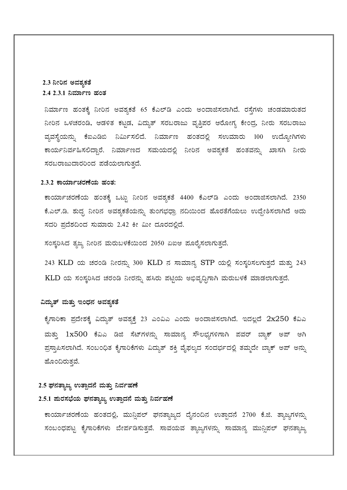## 2.3 ನೀರಿನ ಅವಶ್ಯಕತೆ 2.4 2.3.1 ನಿರ್ಮಾಣ ಹಂತ

ನಿರ್ಮಾಣ ಹಂತಕ್ಕೆ ನೀರಿನ ಅವಶ್ಯಕತೆ 65 ಕೆಎಲ್ಡ ಎಂದು ಅಂದಾಜಿಸಲಾಗಿದೆ. ರಸ್ತೆಗಳು ಚಂಡಮಾರುತದ ನೀರಿನ ಒಳಚರಂಡಿ, ಆಡಳಿತ ಕಟ್ಟಡ, ವಿದ್ಯುತ್ ಸರಬರಾಜು ವೃತ್ತಿಪರ ಆರೋಗ್ಯ ಕೇಂದ್ರ, ನೀರು ಸರಬರಾಜು ವ್ಯವಸ್ಥೆಯನ್ನು ಕೆಐಎಡಿಬಿ ನಿರ್ಮಿಸಲಿದೆ. ನಿರ್ಮಾಣ ಹಂತದಲ್ಲಿ ಸಉಮಾರು 100 ಉದ್ಯೋಗಿಗಳು ಕಾರ್ಯನಿರ್ವಹಿಸಲಿದ್ದಾರೆ. ನಿರ್ಮಾಣದ ಸಮಯದಲ್ಲಿ ನೀರಿನ ಅವಶ್ಯಕತೆ ಹಂತವನ್ನು ಖಾಸಗಿ ನೀರು ಸರಬರಾಜುದಾರರಿಂದ ಪಡೆಯಲಾಗುತದೆ.

#### $2.3.2$  ಕಾರ್ಯಾಚರಣೆಯ ಹಂತ:

ಕಾರ್ಯಾಚರಣೆಯ ಹಂತಕ್ಕೆ ಒಟ್ಟು ನೀರಿನ ಅವಶ್ಯಕತೆ 4400 ಕೆಎಲ್ಡ ಎಂದು ಅಂದಾಜಿಸಲಾಗಿದೆ. 2350 ಕೆ.ಎಲ್.ಡಿ. ಶುದ್ಧ ನೀರಿನ ಅವಶ್ಯಕತೆಯನ್ನು ತುಂಗಭಧ್ರಾ ನದಿಯಿಂದ ಹೊರತೆಗೆಯಲು ಉದ್ದೇಶಿಸಲಾಗಿದೆ ಅದು ಸದರಿ ಪ್ರದೆಶದಿಂದ ಸುಮಾರು 2.42 ಕೀ ಮೀ ದೂರದಲ್ಲಿದೆ.

ಸಂಸ್ಕರಿಸಿದ ತ್ಯಜ್ಯ ನೀರಿನ ಮರುಬಳಕೆಯಿಂದ 2050 ಏಐಆ ಹೂರೈಸಲಾಗುತ್ತದೆ.

243 KLD ಯ ಚರಂಡಿ ನೀರನ್ನು 300 KLD ನ ಸಾಮಾನ್ಯ STP ಯಲ್ಲಿ ಸಂಸ್ಕರಿಸಲಗುತ್ತದೆ ಮತ್ತು 243 KLD ಯ ಸಂಸ್ಕರಿಸಿದ ಚರಂಡಿ ನೀರನ್ನು ಹಸಿರು ಪಟ್ಟಿಯ ಅಭಿವೃದ್ಧಿಗಾಗಿ ಮರುಬಳಕೆ ಮಾಡಲಾಗುತ್ತದೆ.

### ವಿದ್ಯುತ್ ಮತ್ತು ಇಂಧನ ಅವಶ್ಯಕತೆ

ಕೈಗಾರಿಕಾ ಪ್ರದೇಶಕ್ಕೆ ವಿದ್ಯುತ್ ಅವಶ್ಯಕ್ಕೆ 23 ಎಂವಿಎ ಎಂದು ಅಂದಾಜಿಸಲಾಗಿದೆ. ಇದಲ್ಲದೆ  $2x250$  ಕೆವಿಎ ಮತ್ತು 1x500 ಕೆವಿಎ ಡಿಜಿ ಸೆಟ್ಗಳನ್ನು ಸಾಮಾನ್ಯ ಸೌಲಭ್ಯಗಳಿಗಾಗಿ ಪವರ್ ಬ್ಯಾಕ್ ಅಪ್ ಆಗಿ ಪ್ರಸ್ತಾಪಿಸಲಾಗಿದೆ. ಸಂಬಂಧಿತ ಕೈಗಾರಿಕೆಗಳು ವಿದ್ಯುತ್ ಶಕ್ತಿ ವೈಫಲ್ಯದ ಸಂದರ್ಭದಲ್ಲಿ ತಮ್ಮದೇ ಬ್ಯಾಕ್ ಅಪ್ ಅನ್ನು ಹೊಂದಿರುತ್ತವೆ.

## 2.5 ಘನತ್ಯಾಜ್ಯ ಉತ್ಪಾದನೆ ಮತ್ತು ನಿರ್ವಹಣೆ

## 2.5.1 ಪುರಸಭೆಯ ಘನತ್ನಾಜ್ಯ ಉತ್ಪಾದನೆ ಮತ್ತು ನಿರ್ವಹಣೆ

ಕಾರ್ಯಾಚರಣೆಯ ಹಂತದಲ್ಲಿ, ಮುನ್ನಿಪಲ್ ಘನತ್ಯಾಜ್ಯದ ದೈನಂದಿನ ಉತ್ಪಾದನೆ 2700 ಕೆ.ಜಿ. ತ್ಯಾಜ್ಯಗಳನ್ನು ಸಂಬಂಧಪಟ್ಟ ಕೈಗಾರಿಕೆಗಳು ಬೇರ್ಪಡಿಸುತ್ತವೆ. ಸಾವಯವ ತ್ಯಾಜ್ಯಗಳನ್ನು ಸಾಮಾನ್ಯ ಮುನ್ನಿಪಲ್ ಘನತ್ಯಾಜ್ಯ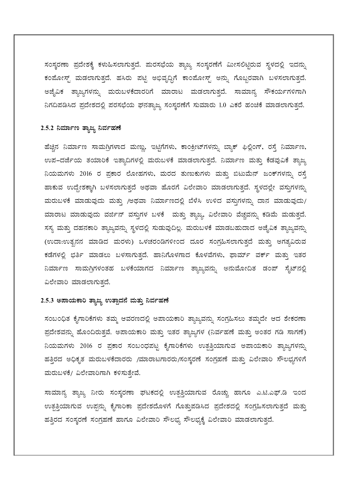ಸಂಸ್ಕರಣಾ ಪ್ರದೇಶಕ್ಕೆ ಕಳುಹಿಸಲಾಗುತ್ತದೆ. ಮರಸಭೆಯ ತ್ಯಾಜ್ಯ ಸಂಸ್ಕರಣೆಗೆ ಮೀಸಲಿಟ್ಟಿರುವ ಸ್ಥಳದಲ್ಲಿ ಇದನ್ನು ಕಂಪೋಸ್ಟ್ ಮಡಲಾಗುತ್ತದೆ. ಹಸಿರು ಪಟ್ಟಿ ಅಭಿವೃದ್ಧಿಗೆ ಕಾಂಪೋಸ್ಟ್ ಅನ್ನು ಗೊಬ್ಬರವಾಗಿ ಬಳಸಲಾಗುತ್ತದೆ. ಅಜೈವಿಕ ತ್ಯಾಜ್ಯಗಳನ್ನು ಮರುಬಳಕೆದಾರರಿಗೆ ಮಾರಾಟ ಮಡಲಾಗುತ್ತದೆ. ಸಾಮಾನ್ಯ ಸೌಕರ್ಯಗಳಿಗಾಗಿ ನಿಗದಿಪಡಿಸಿದ ಪ್ರದೇಶದಲ್ಲಿ ಪರಸಭೆಯ ಘನತ್ಯಾಜ್ಯ ಸಂಸ್ಕರಣೆಗೆ ಸುಮಾರು 1.0 ಎಕರೆ ಹಂಚಿಕೆ ಮಾಡಲಾಗುತ್ತದೆ.

#### 2.5.2 ನಿರ್ಮಾಣ ತ್ಯಾಜ್ಯ ನಿರ್ವಹಣೆ

ಹೆಚ್ಚಿನ ನಿರ್ಮಾಣ ಸಾಮಗ್ರಿಗಳಾದ ಮಣ್ಣು, ಇಟ್ಟಿಗೆಗಳು, ಕಾಂಕ್ರೀಟ್ಗಳನ್ನು ಬ್ಯಾಕ್ ಫಿಲ್ಲಿಂಗ್, ರಸ್ತೆ ನಿರ್ಮಾಣ, ಉಪ–ದರ್ಜೆಯ ತಯಾರಿಕೆ ಇತ್ಯಾದಿಗಳಲ್ಲಿ ಮರುಬಳಕೆ ಮಾಡಲಾಗುತ್ತದೆ. ನಿರ್ಮಾಣ ಮತ್ತು ಕೆಡವುವಿಕೆ ತ್ಯಾಜ್ಯ ನಿಯಮಗಳು 2016 ರ ಪ್ರಕಾರ ಲೋಹಗಳು, ಮರದ ತುಣುಕುಗಳು ಮತ್ತು ಬಿಟುಮೆನ್ ಜಂಕ್ಗಳನ್ನು ರಸ್ತೆ ಹಾಕುವ ಉದ್ದೇಶಕ್ಕಾಗಿ ಬಳಸಲಾಗುತ್ತದೆ ಅಥವಾ ಹೊರಗೆ ವಿಲೇವಾರಿ ಮಾಡಲಾಗುತ್ತದೆ. ಸ್ಥಳದಲ್ಲೇ ವಸ್ತುಗಳನ್ನು ಮರುಬಳಕೆ ಮಾಡುವುದು ಮತ್ತು /ಅಥವಾ ನಿರ್ಮಾಣದಲ್ಲಿ ಬೆಳೆಸಿ ಉಳಿದ ವಸ್ತುಗಳನ್ನು ದಾನ ಮಾಡುವುದು/ ಮಾರಾಟ ಮಾಡುವುದು ವರ್ಜಿನ್ ವಸ್ತುಗಳ ಬಳಕೆ ಮತ್ತು ತ್ಯಾಜ್ಯ, ವಿಲೇವಾರಿ ವೆಚ್ಚವನ್ನು ಕಡಿಮೆ ಮಡುತ್ತದೆ. ಸಸ್ಯ ಮತ್ತು ದಹನಕಾರಿ ತ್ಯಾಜ್ಯವನ್ನು ಸ್ಥಳದಲ್ಲಿ ಸುಡುವುದಿಲ್ಲ. ಮರುಬಳಕೆ ಮಾಡಬಹುದಾದ ಅಜೈವಿಕ ತ್ಯಾಜ್ಯವನ್ನು (ಉದಾ:ಉತ್ಖನನ ಮಾಡಿದ ಮರಳು) ಒಳಚರಂಡಿಗಳೀಂದ ದೂರ ಸಂಗ್ರಹಿಸಲಾಗುತ್ತದೆ ಮತ್ತು ಅಗತ್ಯವಿರುವ ಕಡೆಗಳಲ್ಲಿ ಭರ್ತಿ ಮಾಡಲು ಬಳಸಾಗುತ್ತದೆ. ಹಾನಿಗೊಳಗಾದ ಕೊಳವೆಗಳು, ಫಾರ್ಮ್ ವರ್ಕ್ ಮತ್ತು ಇತರ ನಿರ್ಮಾಣ ಸಾಮಗ್ರಿಗಳಂತಹ ಬಳಕೆಯಾಗದ ನಿರ್ಮಾಣ ತ್ಯಾಜ್ಯವನ್ನು ಅನುಮೋದಿತ ಡಂಪ್ ಸೈಟ್ನಲ್ಲಿ ವಿಲೇವಾರಿ ಮಾಡಲಾಗುತ್ತದೆ.

#### 2.5.3 ಅಪಾಯಕಾರಿ ತ್ಯಾಜ್ಯ ಉತ್ಪಾದನೆ ಮತ್ತು ನಿರ್ವಹಣೆ

ಸಂಬಂಧಿತ ಕೈಗಾರಿಕೆಗಳು ತಮ್ಮ ಆವರಣದಲ್ಲಿ ಅಪಾಯಕಾರಿ ತ್ಯಾಜ್ಯವನ್ನು ಸಂಗ್ರಹಿಸಲು ತಮ್ಮದೇ ಆದ ಶೇಕರಣಾ ಪ್ರದೇಶವನ್ನು ಹೊಂದಿರುತ್ತವೆ. ಅಪಾಯಕಾರಿ ಮತ್ತು ಇತರ ತ್ಯಾಜ್ಯಗಳ (ನಿರ್ವಹಣೆ ಮತ್ತು ಅಂತರ ಗಡಿ ಸಾಗಣೆ) ನಿಯಮಗಳು 2016 ರ ಪ್ರಕಾರ ಸಂಬಂಧಪಟ್ಟ ಕೈಗಾರಿಕೆಗಳು ಉತ್ಪತ್ತಿಯಾಗುವ ಅಪಾಯಕಾರಿ ತ್ಯಾಜ್ಯಗಳನ್ನು ಹತ್ತಿರದ ಅಧಿಕೃತ ಮರುಬಳಕೆದಾರರು /ಮಾರಾಟಗಾರರು/ಸಂಸ್ಕರಣೆ ಸಂಗ್ರಹಣೆ ಮತ್ತು ವಿಲೇವಾರಿ ಸೌಲಭ್ಯಗಳಿಗೆ ಮರುಬಳಕೆ/ ವಿಲೇವಾರಿಗಾಗಿ ಕಳಿಸುತ್ತೇವೆ.

ಸಾಮಾನ್ಯ ತ್ಯಾಜ್ಯ ನೀರು ಸಂಸ್ಕರಣಾ ಘಟಕದಲ್ಲಿ ಉತ್ಪತ್ತಿಯಾಗುವ ರೊಚ್ಚು ಹಾಗೂ ಎ.ಟಿ.ಎಫ್.ಡಿ ಇಂದ ಉತ್ಪತ್ತಿಯಾಗುವ ಉಪ್ಪನ್ನು ಕೈಗಾರಿಕಾ ಪ್ರದೇಶದೊಳಗೆ ಗೊತ್ತುಪಡಿಸಿದ ಪ್ರದೇಶದಲ್ಲಿ ಸಂಗ್ರಹಿಸಲಾಗುತ್ತದೆ ಮತ್ತು ಹತ್ತಿರದ ಸಂಸ್ಕರಣೆ ಸಂಗ್ರಹಣೆ ಹಾಗೂ ವಿಲೇವಾರಿ ಸೌಲಭ್ಯ ಸೌಲಭ್ಯಕ್ಕೆ ವಿಲೇವಾರಿ ಮಾಡಲಾಗುತ್ತದೆ.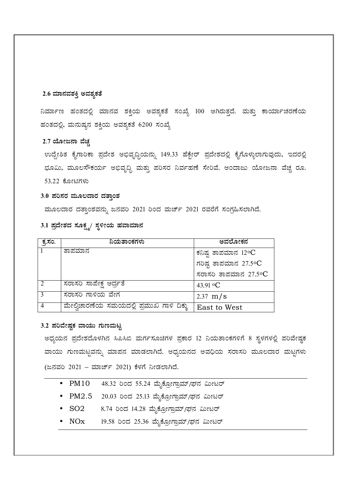## 2.6 ಮಾನವಶಕ್ತಿ ಅವಶ್ಯಕತೆ

ನಿರ್ಮಾಣ ಹಂತದಲ್ಲಿ ಮಾನವ ಶಕ್ತಿಯ ಅವಶ್ಯಕತೆ ಸಂಖ್ಯೆ 100 ಆಗಿರುತ್ತದೆ. ಮತ್ತು ಕಾರ್ಯಾಚರಣೆಯ ಹಂತದಲ್ಲಿ, ಮನುಷ್ಯನ ಶಕ್ತಿಯ ಅವಶ್ಯಕತೆ 6200 ಸಂಖ್ಯೆ

## 2.7 ಯೋಜನಾ ವೆಚ್ಚ

ಉದ್ದೇಶಿತ ಕೈಗಾರಿಕಾ ಪ್ರದೇಶ ಅಭಿವೃದ್ಧಿಯನ್ನು 149.33 ಹೆಕ್ಟೇರ್ ಪ್ರದೇಶದಲ್ಲಿ ಕೈಗೊಳ್ಳುಲಾಗುವುದು, ಇದರಲ್ಲಿ ಭೂಮಿ, ಮೂಲಸೌಕರ್ಯ ಅಭಿವೃದ್ಧಿ ಮತ್ತು ಪರಿಸರ ನಿರ್ವಹಣೆ ಸೇರಿವೆ. ಅಂದಾಜು ಯೋಜನಾ ವೆಚ್ಚ ರೂ. 53.22 ಕೋಟಿಗಳು

## 3.0 ಪರಿಸರ ಮೂಲದಾರ ದತ್ತಾಂಶ

ಮೂಲದಾರ ದತ್ತಾಂಶವನ್ನು ಜನವರಿ 2021 ರಿಂದ ಮರ್ಚ್ 2021 ರವರೆಗೆ ಸಂಗ್ರಹಿಸಲಾಗಿದೆ.

## 3.1 ಪ್ರದೇಶದ ಸೂಕ್ಷ್ಯ/ ಸ್ಥಳೀಯ ಹವಾಮಾನ

| ಕ್ರಸಂ.         | ನಿಯತಾಂಕಗಳು                               | ಅವಲೋಕನ                         |
|----------------|------------------------------------------|--------------------------------|
|                | ತಾಪಮಾನ                                   | ಕನಿಷ್ಠ ತಾಪಮಾನ 12º $\rm C$      |
|                |                                          | ಗರಿಷ್ಠ ತಾಪಮಾನ 27.5 $\rm ^{o}C$ |
|                |                                          | ಸರಾಸರಿ ತಾಪಮಾನ $27.5$ °C        |
| 2              | ಸರಾಸರಿ ಸಾಪೇಕ್ಷ ಆರ್ದ್ರತೆ                  | 43.91 $\rm ^{o}C$              |
| $\overline{3}$ | ಸರಾಸರಿ ಗಾಳಿಯ ವೇಗ                         | 2.37 $m/s$                     |
| $\overline{4}$ | ಮೇಲ್ವಿಚಾರಣೆಯ ಸಮಯದಲ್ಲಿ ಪ್ರಮುಖ ಗಾಳಿ ದಿಕ್ಕು | East to West                   |

## 3.2 ಪರಿವೇಷ್ಣಕ ವಾಯು ಗುಣಮಟ್ಟ

ಅಧ್ಯಯನ ಪ್ರದೇಶದೊಳಗಿನ ಸಿಪಿಸಿಬಿ ಮರ್ಗಸೂಚಿಗಳ ಪ್ರಕಾರ 12 ನಿಯತಾಂಕಗಳಿಗೆ 8 ಸ್ಥಳಗಳಲ್ಲಿ ಪರಿವೇಷ್ಠಕ ವಾಯು ಗುಣಮಟ್ಟವನ್ನು ಮಾಪನ ಮಾಡಲಾಗಿದೆ. ಅಧ್ಯಯನದ ಅವಧಿಯ ಸರಾಸರಿ ಮೂಲದಾರ ಮಟ್ಟಗಳು (ಜನವರಿ 2021 – ಮಾರ್ಚ್ 2021) ಕೆಳಗೆ ನೀಡಲಾಗಿದೆ.

- $\bullet$  PM10 48.32 ರಿಂದ 55.24 ಮೈಕ್ರೋಗ್ರಾಮ್/ಘನ ಮೀಟರ್
- 20.03 ರಿಂದ 25.13 ಮೈಕ್ರೋಗ್ರಾಮ್/ಘನ ಮೀಟರ್  $\bullet$  PM2.5
- 8.74 ರಿಂದ 14.28 ಮೈಕ್ರೋಗ್ರಾಮ್/ಘನ ಮೀಟರ್  $SO<sub>2</sub>$
- $NOx$ 19.58 ರಿಂದ 25.36 ಮೈಕ್ರೋಗ್ರಾಮ್/ಘನ ಮೀಟರ್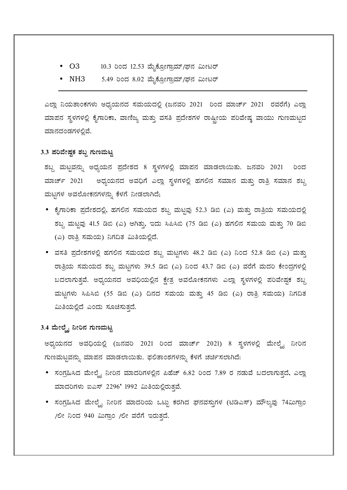- 10.3 ರಿಂದ 12.53 ಮೈಕ್ರೋಗ್ರಾಮ್/ಘನ ಮೀಟರ್  $\bullet$  O3
- 5.49 ರಿಂದ 8.02 ಮೈಕ್ರೋಗ್ರಾಮ್/ಘನ ಮೀಟರ್  $\bullet$  NH3

ಎಲ್ಲಾ ನಿಯತಾಂಕಗಳು ಅಧ್ಯಯನದ ಸಮಯದಲ್ಲಿ (ಜನವರಿ 2021 ರಿಂದ ಮಾರ್ಚ್ 2021 ರವರೆಗೆ) ಎಲ್ಲಾ ಮಾಪನ ಸ್ಥಳಗಳಲ್ಲಿ ಕೈಗಾರಿಕಾ, ವಾಣಿಜ್ಯ ಮತ್ತು ವಸತಿ ಪ್ರದೇಶಗಳ ರಾಷ್ಟೀಯ ಪರಿವೇಷ್ಕ ವಾಯು ಗುಣಮಟ್ಟದ ಮಾನದಂಡಗಳಲ್ಲಿವೆ.

## 3.3 ಪರಿವೇಷ್ಣಕ ಶಬ್ದ ಗುಣಮಟ್ಟ

ಶಬ್ದ ಮಟ್ಟವನ್ನು ಅಧ್ಯಯನ ಪ್ರದೇಶದ 8 ಸ್ಥಳಗಳಲ್ಲಿ ಮಾಪನ ಮಾಡಲಾಯಿತು. ಜನವರಿ 2021 ರಿಂದ ಮಾರ್ಚ್ 2021 ಅಧ್ಯಯನದ ಅವಧಿಗೆ ಎಲ್ಲಾ ಸ್ಥಳಗಳಲ್ಲಿ ಹಗಲಿನ ಸಮಾನ ಮತ್ತು ರಾತ್ರಿ ಸಮಾನ ಶಬ್ದ ಮಟ್ಟಗಳ ಅವಲೋಕನಗಳನ್ನು ಕೆಳಗೆ ನೀಡಲಾಗಿದೆ;

- ಕೈಗಾರಿಕಾ ಪ್ರದೇಶದಲ್ಲಿ, ಹಗಲಿನ ಸಮಯದ ಶಬ್ದ ಮಟ್ಟವು 52.3 ಡಿಬಿ (ಎ) ಮತ್ತು ರಾತ್ರಿಯ ಸಮಯದಲ್ಲಿ ಶಬ್ದ ಮಟ್ಟವು 41.5 ಡಿಬಿ (ಎ) ಆಗಿತ್ತು, ಇದು ಸಿಪಿಸಿಬಿ (75 ಡಿಬಿ (ಎ) ಹಗಲಿನ ಸಮಯ ಮತ್ತು 70 ಡಿಬಿ (ಎ) ರಾತ್ರಿ ಸಮಯ) ನಿಗದಿತ ಮಿತಿಯಲ್ಲಿದೆ.
- ವಸತಿ ಪ್ರದೇಶಗಳಲ್ಲಿ ಹಗಲಿನ ಸಮಯದ ಶಬ್ದ ಮಟ್ಟಗಳು 48.2 ಡಿಬಿ (ಎ) ನಿಂದ 52.8 ಡಿಬಿ (ಎ) ಮತ್ತು ರಾತ್ರಿಯ ಸಮಯದ ಶಬ್ದ ಮಟ್ಟಗಳು 39.5 ಡಿಬಿ (ಎ) ನಿಂದ 43.7 ಡಿಬಿ (ಎ) ವರೆಗೆ ಮದರಿ ಕೇಂದ್ರಗಳಲ್ಲಿ ಬದಲಾಗುತ್ತವೆ. ಅಧ್ಯಯನದ ಅವಧಿಯಲ್ಲಿನ ಕ್ಷೇತ್ರ ಅವಲೋಕನಗಳು ಎಲ್ಲಾ ಸ್ಥಳಗಳಲ್ಲಿ ಪರಿವೇಷ್ಟಕ ಶಬ್ದ ಮಟ್ಟಗಳು ಸಿಪಿಸಿಬಿ (55 ಡಿಬಿ (ಎ) ದಿನದ ಸಮಯ ಮತ್ತು 45 ಡಿಬಿ (ಎ) ರಾತ್ರಿ ಸಮಯ) ನಿಗದಿತ ಮಿತಿಯಲ್ಲಿದೆ ಎಂದು ಸೂಚಿಸುತ್ತದೆ.

## 3.4 ಮೇಲ್ಮೈ ನೀರಿನ ಗುಣಮಟ್ಟ

ಅಧ್ಯಯನದ ಅವಧಿಯಲ್ಲಿ (ಜನವರಿ 2021 ರಿಂದ ಮಾರ್ಚ್ 2021) 8 ಸ್ಥಳಗಳಲ್ಲಿ ಮೇಲ್ಮೈ ನೀರಿನ ಗುಣಮಟ್ಟವನ್ನು ಮಾಪನ ಮಾಡಲಾಯಿತು. ಫಲಿತಾಂಶಗಳನ್ನು ಕೆಳಗೆ ಚರ್ಚಿಸಲಾಗಿದೆ:

- ಸಂಗ್ರಹಿಸಿದ ಮೇಲ್ಮೈ ನೀರಿನ ಮಾದರಿಗಳಲ್ಲಿನ ಪಿಹೆಚ್ 6.82 ರಿಂದ 7.89 ರ ನಡುವೆ ಬದಲಾಗುತ್ತದೆ, ಎಲ್ಲಾ ಮಾದರಿಗಳು ಐಎಸ್ 2296' 1992 ಮಿತಿಯಲ್ಲಿರುತ್ತವೆ.
- ಸಂಗ್ರಹಿಸಿದ ಮೇಲ್ಮೈ ನೀರಿನ ಮಾದರಿಯ ಒಟ್ಟು ಕರಗಿದ ಘನವಸ್ತುಗಳ (ಟಿಡಿಎಸ್) ಮೌಲ್ಯವು 74ಮಿಗ್ರಾಂ /ಲೀ ನಿಂದ 940 ಮಿಗ್ರಾಂ /ಲೀ ವರೆಗೆ ಇರುತ್ತದೆ.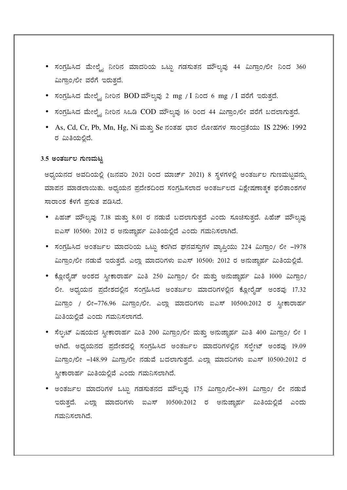- $\bullet$  ಸಂಗ್ರಹಿಸಿದ ಮೇಲ್ಮೈ ನೀರಿನ ಮಾದರಿಯ ಒಟ್ಟು ಗಡಸುತನ ಮೌಲ್ಯವು 44 ಮಿಗ್ರಾಂ/ಲೀ ನಿಂದ 360 ಮಿಗ್ರಾಂ/ಲೀ ವರೆಗೆ ಇರುತ್ತದೆ.
- ಸಂಗ್ರಹಿಸಿದ ಮೇಲ್ಮೈ ನೀರಿನ BOD ಮೌಲ್ಯವು 2 mg / I ನಿಂದ 6 mg / I ವರೆಗೆ ಇರುತ್ತದೆ.
- ಸಂಗ್ರಹಿಸಿದ ಮೇಲ್ಮೈ ನೀರಿನ ಸಿಒಡಿ COD ಮೌಲ್ಯವು 16 ರಿಂದ 44 ಮಿಗ್ರಾಂ/ಲೀ ವರೆಗೆ ಬದಲಾಗುತ್ತದೆ.
- As, Cd, Cr, Pb, Mn, Hg, Ni ಮತ್ತು Se ನಂತಹ ಭಾರ ಲೋಹಗಳ ಸಾಂದ್ರತೆಯು IS 2296: 1992 ರ ಮಿತಿಯಲ್ಲಿದೆ.

#### 3.5 ಅಂತರ್ಜಲ ಗುಣಮಟ್ಟ

ಅಧ್ಯಯನದ ಅವದಿಯಲ್ಲಿ (ಜನವರಿ 2021 ರಿಂದ ಮಾರ್ಚ್ 2021) 8 ಸ್ಥಳಗಳಲ್ಲಿ ಅಂತರ್ಜಲ ಗುಣಮಟ್ಟವನ್ನು ಮಾಪನ ಮಾಡಲಾಯಿತು. ಅಧ್ಯಯನ ಪ್ರದೇಶದಿಂದ ಸಂಗ್ರಹಿಸಲಾದ ಅಂತರ್ಜಲದ ವಿಶ್ಲೇಷಣಾತ್ರಕ ಫಲಿತಾಂಶಗಳ ಸಾರಾಂಶ ಕೆಳಗೆ ಪ್ರಸುತ ಪಡಿಸಿದೆ.

- ಪಿಹಚ್ ಮೌಲ್ಯವು 7.18 ಮತ್ತು 8.01 ರ ನಡುವೆ ಬದಲಾಗುತ್ತದೆ ಎಂದು ಸೂಚಿಸುತ್ತದೆ. ಪಿಹೆಚ್ ಮೌಲ್ಯವು ಐಎಸ್ 10500: 2012 ರ ಅನುಜ್ಞಾರ್ಹ ಮಿತಿಯಲ್ಲಿದೆ ಎಂದು ಗಮನಿಸಲಾಗಿದೆ.
- ಸಂಗ್ರಹಿಸಿದ ಅಂತರ್ಜಲ ಮಾದರಿಯ ಒಟ್ಟು ಕರಗಿದ ಘನವಸ್ತುಗಳ ವ್ಯಾಪ್ತಿಯು 224 ಮಿಗ್ರಾಂ/ ಲೀ –1978 ಮಿಗ್ರಾಂ/ಲೀ ನಡುವೆ ಇರುತ್ತದೆ. ಎಲ್ಲಾ ಮಾದರಿಗಳು ಐಎಸ್ 10500: 2012 ರ ಅನುಜ್ಞಾರ್ಹ ಮಿತಿಯಲ್ಲಿವೆ.
- ಕ್ಲೋರೈಡ್ ಅಂಶದ ಸ್ತೀಕಾರಾರ್ಹ ಮಿತಿ 250 ಮಿಗ್ಗಾಂ/ ಲೀ ಮತ್ತು ಅನುಜ್ಞಾರ್ಹ ಮಿತಿ 1000 ಮಿಗ್ಗಾಂ/ ಲೀ. ಅಧ್ಯಯನ ಪ್ರದೇಶದಲ್ಲಿನ ಸಂಗ್ರಹಿಸಿದ ಅಂತರ್ಜಲ ಮಾದರಿಗಳಲ್ಲಿನ ಕ್ಲೋರೈಡ್ ಅಂಶವು 17.32 ಮಿಗ್ರಾಂ / ಲೀ-776.96 ಮಿಗ್ರಾಂ/ಲೀ. ಎಲ್ಲಾ ಮಾದರಿಗಳು ಐಎಸ್ 10500:2012 ರ ಸ್ತೀಕಾರಾರ್ಹ ಮಿತಿಯಲ್ಲಿವೆ ಎಂದು ಗಮನಿಸಲಾಗದೆ.
- ಸೆಲ್ಟಟ್ ವಿಷಯದ ಸ್ತೀಕಾರಾರ್ಹ ಮಿತಿ 200 ಮಿಗ್ರಾಂ/ಲೀ ಮತ್ತು ಅನುಜ್ಞಾರ್ಹ ಮಿತಿ 400 ಮಿಗ್ರಾಂ/ ಲೀ 1 ಆಗಿದೆ. ಅಧ್ಯಯನದ ಪ್ರದೇಶದಲ್ಲಿ ಸಂಗ್ರಹಿಸಿದ ಅಂತರ್ಜಲ ಮಾದರಿಗಳಲ್ಲಿನ ಸಲ್ಪೇಟ್ ಅಂಶವು 19.09 ಮಿಗ್ರಾಂ/ಲೀ -148.99 ಮಿಗ್ರಾ/ಲೀ ನಡುವೆ ಬದಲಾಗುತ್ತದೆ. ಎಲ್ಲಾ ಮಾದರಿಗಳು ಐಎಸ್ 10500:2012 ರ ಸ್ತೀಕಾರಾರ್ಹ ಮಿತಿಯಲ್ಲಿವೆ ಎಂದು ಗಮನಿಸಲಾಗಿದೆ.
- ಅಂತರ್ಜಲ ಮಾದರಿಗಳ ಒಟ್ಟು ಗಡಸುತನದ ಮೌಲ್ಯವು 175 ಮಿಗ್ರಾಂ/ಲೀ–891 ಮಿಗ್ರಾಂ/ ಲೀ ನಡುವೆ ಇರುತ್ತದೆ. ಎಲ್ಲಾ ಮಾದರಿಗಳು ಐಎಸ್ 10500:2012 ರ ಅನುಜ್ಞಾರ್ಹ ಮಿತಿಯಲ್ಲಿವೆ ಎಂದು ಗಮನಿಸಲಾಗಿದೆ.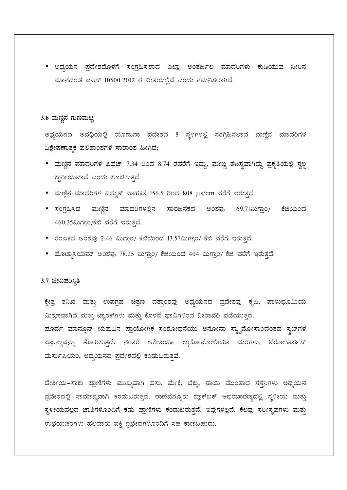• ಅಧ್ಯಯನ ಪ್ರದೇಶದೊಳಗೆ ಸಂಗ್ರಹಿಸಲಾದ ಎಲ್ಲಾ ಅಂತರ್ಜಲ ಮಾದರಿಗಳು ಕುಡಿಯುವ ನೀರಿನ ಮಾನದಂಡ ಐಎಸ್ 10500:2012 ರ ಮಿತಿಯಲ್ಲಿವೆ ಎಂದು ಗಮನಿಸಲಾಗಿದೆ.

## 3.6 ಮಣ್ಣಿನ ಗುಣಮಟ್ಟ

ಅಧ್ಯಯನದ ಅವಧಿಯಲ್ಲಿ ಯೋಜನಾ ಪ್ರದೇಶದ 8 ಸ್ಥಳಗಳಲ್ಲಿ ಸಂಗ್ರಿಹಿಸಲಾದ ಮಣ್ಣಿನ ಮಾದರಿಗಳ ವಿಶ್ಲೇಷಣಾತ್ಮಕ ಪಲಿತಾಂಶಗಳ ಸಾರಾಂಶ ಹೀಗಿದೆ;

- ಮಣ್ಣಿನ ಮಾದರಿಗಳ ಪಿಹೆಚ್ 7.34 ರಿಂದ 8.74 ರವರೆಗೆ ಇದ್ದು, ಮಣ್ಣು ತಟಸ್ಥವಾಗಿದ್ದು ಪ್ರಕೃತಿಯಲ್ಲಿ ಸ್ವಲ್ಪ ಕ್ಷಾರೀಯವಾದೆ ಎಂದು ಸೂಚಿಸುತ್ತದೆ.
- $\bullet$  ಮಣ್ಣಿನ ಮಾದರಿಗಳ ವಿದ್ಯುತ್ ವಾಹಕತೆ 156.5 ರಿಂದ 808 µs/cm ವರೆಗೆ ಇರುತ್ತದೆ.
- ಸಂಗ್ರಹಿಸಿದ ಮಣ್ಣಿನ ಮಾದರಿಗಳಲ್ಲಿನ ಸಾರಜನಕದ ಅಂಶವು 69.71ಮಿಗ್ರಾಂ/ ಕೆಜಿಯಿಂದ 460.35ಮಿಗ್ರಾಂ/ಕೆಜಿ ವರೆಗೆ ಇರುತ್ತದೆ.
- $\bullet$  ರಂಜಕದ ಅಂಶವು 2.46 ಮಿಗ್ರಾಂ/ ಕೆಜಿಯಿಂದ 13.57ಮಿಗ್ರಾಂ/ ಕೆಜಿ ವರೆಗೆ ಇರುತ್ತದೆ.
- $\bullet$  ಮೊಟ್ನಾಸಿಯಮ್ ಅಂಶವು 78.25 ಮಿಗ್ರಾಂ/ ಕೆಜಿಯಿಂದ 404 ಮಿಗ್ರಾಂ/ ಕೆಜಿ ವರೆಗೆ ಇರುತ್ತದೆ.

#### 3.7 ಜೀವಿಪರಿಸ್ಥಿತಿ

ಕ್ಷೇತ್ರ ತನಿಖೆ ಮತ್ತು ಉಪಗ್ರಹ ಚಿತ್ರಣ ದತ್ತಾಂಶವು ಅಧ್ಯಯನದ ಪ್ರದೇಶವು ಕೃಷಿ, ಪಾಳುಭೂಮಿಯ ಮಿಶ್ರಣವಾಗಿದೆ ಮತ್ತು ಟ್ಯಾಂಕ್ ಗಳು ಮತ್ತು ಕೊಳವೆ ಭಾವಿಗಳಿಂದ ನೀರಾವರಿ ಪಡೆಯುತ್ತದೆ. ಮೂರ್ವ ಮಾನ್ಸೂನ್ ಋತುವಿನ ಪ್ರಾಯೋಗಿಕ ಸಂಶೋಧನೆಯು ಅನೋನಾ ಸ್ಕ್ವಾಮೋಸಾಂದಂತಹ ಸ್ವಬ್ಗಳ ಪ್ರಾಬಲ್ಯವನ್ನು ತೋರಿಸುತ್ತದೆ, ನಂತರ ಅಕೇಶಿಯಾ ಲ್ಯುಕೋಫೋಲಿಯಾ ಮರಗಳು, ಟೆರೋಕಾರ್ಪಸ್ ಮರ್ಸುಪಿಯಂ, ಅಧ್ಯಯನದ ಪ್ರದೇಶದಲ್ಲಿ ಕಂಡುಬರುತ್ತವೆ.

ದೇಶೀಯ–ಸಾಕು ಪ್ರಾಣಿಗಳು ಮುಖ್ಯವಾಗಿ ಹಸು, ಮೇಕೆ, ಬೆಕ್ಕು, ನಾಯಿ ಮುಂತಾದ ಸಸ್ತನಿಗಳು ಅಧ್ಯಯನ ಪ್ರದೇಶದಲ್ಲಿ ಸಾಮಾನ್ಯವಾಗಿ ಕಂಡುಬರುತ್ತವೆ. ರಾಣೆಬೆನ್ನೂರು ಬ್ಲಾಕ್ ಬಕ್ ಅಭಯಾರಣ್ಯದಲ್ಲಿ ಸ್ಥಳೀಯ ಮತ್ತು ಸ್ಥಳೀಯವಲ್ಲದ ಜಾತಿಗಳೊಂದಿಗೆ ಕಡು ಪ್ರಾಣಿಗಳು ಕಂಡುಬರುತ್ತವೆ. ಇವುಗಳಲ್ಲದೆ, ಕೆಲವು ಸರೀಸೃಪಗಳು ಮತ್ತು ಉಭಯಚರಗಳು ಹಲವಾರು ಪಕ್ಷಿ ಪ್ರಭೇದಗಳೊಂದಿಗೆ ಸಹ ಕಾಣಬಹುದು.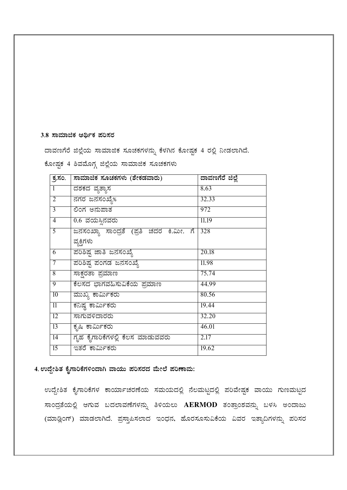#### 3.8 ಸಾಮಾಜಿಕ ಆರ್ಥಿಕ ಪರಿಸರ

ದಾವಣಗೆರೆ ಜಿಲ್ಲೆಯ ಸಾಮಾಜಿಕ ಸೂಚಕಗಳನ್ನು ಕೆಳಗಿನ ಕೋಷ್ಟಕ 4 ರಲ್ಲಿ ನೀಡಲಾಗಿದೆ.

ಕೋಷ್ಠಕ 4 ಶಿವಮೊಗ್ಗ ಜಿಲ್ಲೆಯ ಸಾಮಾಜಿಕ ಸೂಚಕಗಳು

| <u>ಕ್ಕಸಂ.</u>   | ಸಾಮಾಜಿಕ ಸೂಚಕಗಳು (ಶೇಕಡವಾರು)             | ದಾವಣಗೆರೆ ಜಿಲ್ಲೆ |
|-----------------|----------------------------------------|-----------------|
| $\mathbf{1}$    | <u>ದಶಕದ</u> ವ್ಯತ್ಯಾಸ                   | 8.63            |
| $\overline{2}$  | ನಗರ ಜನಸಂಖ್ಯೆ%                          | 32.33           |
| $\overline{3}$  | ಲಿಂಗ ಅನುಪಾತ                            | 972             |
| $\overline{4}$  | 0.6 ವಯಸ್ಸಿನವರು                         | 11.19           |
| $\overline{5}$  | ಜನಸಂಖ್ಯಾ ಸಾಂದ್ರತೆ (ಪ್ರತಿ ಚದರ ಕಿ.ಮೀ. ಗೆ | 328             |
|                 | ವ್ಯಕ್ತಿಗಳು                             |                 |
| $\overline{6}$  | ಪರಿಶಿಷ್ಠ ಜಾತಿ ಜನಸಂಖ್ಯೆ                 | 20.18           |
| $\overline{7}$  | ಪರಿಶಿಷ್ಠ ಪಂಗಡ ಜನಸಂಖ್ಯೆ                 | 11.98           |
| $\sqrt{8}$      | ಸಾಕ್ಷರತಾ ಪ್ರಮಾಣ                        | 75.74           |
| $\overline{9}$  | ಕೆಲಸದ ಭಾಗವಹಿಸುವಿಕೆಯ ಪ್ರಮಾಣ             | 44.99           |
| 10              | <u>ಮುಖ್ಯ ಕಾರ್ಮಿಕರು</u>                 | 80.56           |
| $\overline{11}$ | ಕನಿಷ್ಠ ಕಾರ್ಮಿಕರು                       | 19.44           |
| $\overline{12}$ | ಸಾಗುವಳಿದಾರರು                           | 32.20           |
| 13              | ಕೃಷಿ ಕಾರ್ಮಿಕರು                         | 46.01           |
| $\overline{14}$ | ಗೃಹ ಕೈಗಾರಿಕೆಗಳಲ್ಲಿ ಕೆಲಸ ಮಾಡುವವರು       | 2.17            |
| 15              | ಇತರೆ ಕಾರ್ಮಿಕರು                         | 19.62           |

## 4. ಉದ್ದೇಶಿತ ಕೈಗಾರಿಕೆಗಳಿಂದಾಗಿ ವಾಯು ಪರಿಸರದ ಮೇಲೆ ಪರಿಣಾಮ:

ಉದ್ದೇಶಿತ ಕೈಗಾರಿಕೆಗಳ ಕಾರ್ಯಾಚರಣೆಯ ಸಮಯದಲ್ಲಿ ನೆಲಮಟ್ಟದಲ್ಲಿ ಪರಿವೇಷ್ಟಕ ವಾಯು ಗುಣಮಟ್ಟದ ಸಾಂದ್ರತೆಯಲ್ಲಿ ಆಗುವ ಬದಲಾವಣೆಗಳನ್ನು ತಿಳಿಯಲು AERMOD ತಂತ್ರಾಂಶವನ್ನು ಬಳಸಿ ಅಂದಾಜು (ಮಾಡ್ಲಿಂಗ್) ಮಾಡಲಾಗಿದೆ. ಪ್ರಸ್ತಾಪಿಸಲಾದ ಇಂಧನ, ಹೊರಸೂಸುವಿಕೆಯ ವಿವರ ಇತ್ಯಾದಿಗಳನ್ನು ಪರಿಸರ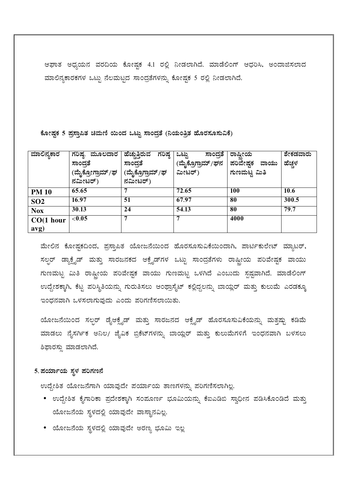ಆಘಾತ ಅಧ್ಯಯನ ವರದಿಯ ಕೋಷ್ಣಕ 4.1 ರಲ್ಲಿ ನೀಡಲಾಗಿದೆ. ಮಾಡೆಲಿಂಗ್ ಆಧರಿಸಿ, ಅಂದಾಜಿಸಲಾದ ಮಾಲಿನ್ಯಕಾರಕಗಳ ಒಟ್ಟು ನೆಲಮಟ್ಟದ ಸಾಂದ್ರತೆಗಳನ್ನು ಕೋಷ್ಟಕ 5 ರಲ್ಲಿ ನೀಡಲಾಗಿದೆ.

ಕೋಷ್ಣಕ 5 ಪ್ರಸ್ತಾಪಿತ ಚಿಮಣಿ ಯಿಂದ ಒಟ್ಟು ಸಾಂದ್ರತೆ (ನಿಯಂತ್ರಿತ ಹೊರಸೂಸುವಿಕೆ)

| ಮಾಲಿನ್ಯಕಾರ      | ಗರಿಷ್ಠ ಮೂಲದಾರ     | ಹೆಚ್ಚುತ್ತಿರುವ<br>ಗರಿಷ್ಠ | ಸಾಂದ್ರತೆ<br>ಒಟ್ಟು | ರಾಷ್ಟೀಯ           | ಶೇಕಡವಾರು |
|-----------------|-------------------|-------------------------|-------------------|-------------------|----------|
|                 | ಸಾಂದ್ರ            | ಸಾಂದ್ರತೆ                | (ಮೈಕ್ರೊಗ್ರಾಮ್ /ಘನ | ಪರಿವೇಷ್ಠಕ<br>ವಾಯು | ಹೆಚ್ಚಳ   |
|                 | (ಮೈಕ್ರೋಗ್ರಾಮ್ /ಫ್ | (ಮೈಕ್ರೊಗ್ರಾಮ್/ಘ         | ಮೀಟರ್)            | ಗುಣಮಟ್ಟ ಮಿತಿ      |          |
|                 | ನಮೀಟರ್)           | ನಮೀಟರ್)                 |                   |                   |          |
| <b>PM 10</b>    | 65.65             |                         | 72.65             | 100               | 10.6     |
| SO <sub>2</sub> | 16.97             | 51                      | 67.97             | 80                | 300.5    |
| <b>Nox</b>      | 30.13             | 24                      | 54.13             | 80                | 79.7     |
| $CO(1)$ hour    | ${<}0.05$         | 7                       |                   | 4000              |          |
| avg)            |                   |                         |                   |                   |          |

ಮೇಲಿನ ಕೋಷ್ಷಕದಿಂದ, ಪ್ರಸ್ತಾಪಿತ ಯೋಜನೆಯಿಂದ ಹೊರಸೂಸುವಿಕೆಯಿಂದಾಗಿ, ಪಾರ್ಟಿಕುಲೇಟ್ ಮ್ಯಾಟರ್, ಸಲ್ಪರ್ ಡ್ಯಾಕ್ಸೈಡ್ ಮತ್ತು ಸಾರಜನಕದ ಆಕ್ಸೈಡ್ಗಳ ಒಟ್ಟು ಸಾಂದ್ರತೆಗಳು ರಾಷ್ಟೀಯ ಪರಿವೇಷ್ಟಕ ವಾಯು ಗುಣಮಟ್ಟ ಮಿತಿ ರಾಷ್ಟ್ರೀಯ ಪರಿವೇಷ್ಟಕ ವಾಯು ಗುಣಮಟ್ಟ ಒಳಗಿದೆ ಎಂಬುದು ಸ್ಪಷ್ಟವಾಗಿದೆ. ಮಾಡೆಲಿಂಗ್ ಉದ್ದೇಶಕ್ಕಾಗಿ, ಕೆಟ್ಟ ಪರಿಸ್ಥಿತಿಯನ್ನು ಗುರುತಿಸಲು ಆಂಥ್ರಾಸೈಟ್ ಕಲ್ಲಿದ್ದಲನ್ನು ಬಾಯ್ಲರ್ ಮತ್ತು ಕುಲುಮೆ ಎರಡಕ್ಕೂ ಇಂಧನವಾಗಿ ಒಳಸಲಾಗುವುದು ಎಂದು ಪರಿಗಣಿಸಲಾಯಿತು.

ಯೋಜನೆಯಿಂದ ಸಲ್ಪರ್ ಡೈಆಕ್ಸೈಡ್ ಮತ್ತು ಸಾರಜನದ ಆಕ್ಸೈಡ್ ಹೊರಸೂಸುವಿಕೆಯನ್ನು ಮತ್ತಷ್ಟು ಕಡಿಮೆ ಮಾಡಲು ನೈಸರ್ಗಿಕ ಅನಿಲ/ ಜೈವಿಕ ಬ್ರಿಕೆಟ್ಗಳನ್ನು ಬಾಯ್ಲರ್ ಮತ್ತು ಕುಲುಮೆಗಳಿಗೆ ಇಂಧನವಾಗಿ ಬಳಸಲು ಶಿಫಾರಸ್ಸು ಮಾಡಲಾಗಿದೆ.

## 5. ಪರ್ಯಾಯ ಸ್ಥಳ ಪರಿಗಣನೆ

ಉದ್ದೇಶಿತ ಯೋಜನೆಗಾಗಿ ಯಾವುದೇ ಪರ್ಯಾಯ ತಾಣಗಳನ್ನು ಪರಿಗಣಿಸಲಾಗಿಲ್ಲ.

- ಉದ್ದೇಶಿತ ಕೈಗಾರಿಕಾ ಪ್ರದೇಶಕ್ಕಾಗಿ ಸಂಪೂರ್ಣ ಭೂಮಿಯನ್ನು ಕೆಐಎಡಿಬಿ ಸ್ವಾಧೀನ ಪಡಿಸಿಕೊಂಡಿದೆ ಮತ್ತು ಯೋಜನೆಯ ಸ್ಥಳದಲ್ಲಿ ಯಾವುದೇ ವಾಸ್ಥಾನವಿಲ್ಲ.
- ಯೋಜನೆಯ ಸ್ಥಳದಲ್ಲಿ ಯಾವುದೇ ಅರಣ್ಯ ಭೂಮಿ ಇಲ್ಲ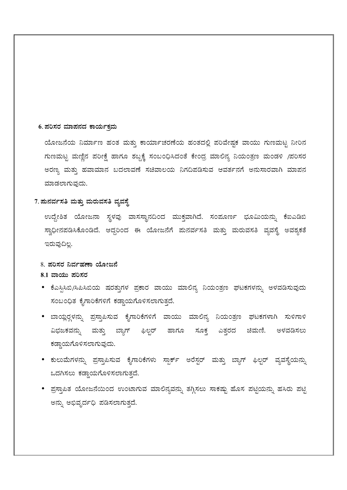#### 6. ಪರಿಸರ ಮಾಪನದ ಕಾರ್ಯಕ್ರಮ

ಯೋಜನೆಯ ನಿರ್ಮಾಣ ಹಂತ ಮತ್ತು ಕಾರ್ಯಾಚರಣೆಯ ಹಂತದಲ್ಲಿ ಪರಿವೇಷ್ಣಕ ವಾಯು ಗುಣಮಟ್ಟ ನೀರಿನ ಗುಣಮಟ್ಟ ಮಣ್ಣಿನ ಪರೀಕ್ಷೆ ಹಾಗೂ ಶಬ್ದಕ್ಕೆ ಸಂಬಂಧಿಸಿದಂತೆ ಕೇಂದ್ರ ಮಾಲಿನ್ಯ ನಿಯಂತ್ರಣ ಮಂಡಳಿ /ಪರಿಸರ ಅರಣ್ಯ ಮತ್ತು ಹವಾಮಾನ ಬದಲಾವಣೆ ಸಚಿವಾಲಯ ನಿಗದಿಪಡಿಸುವ ಆವರ್ತನಗೆ ಅನುಸಾರವಾಗಿ ಮಾಪನ ಮಾಡಲಾಗುವುದು.

## 7. ಪುನರ್ವಸತಿ ಮತ್ತು ಮರುವಸತಿ ವ್ಯವಸ್ಥೆ

ಉದ್ದೇಶಿತ ಯೋಜನಾ ಸ್ಥಳವು ವಾಸಸ್ಥಾನದಿಂದ ಮುಕ್ತವಾಗಿದೆ. ಸಂಪೂರ್ಣ ಭೂಮಿಯನ್ನು ಕೆಐಎಡಿಬಿ ಸ್ವಾಧೀನಪಡಿಸಿಕೊಂಡಿದೆ. ಆದ್ದರಿಂದ ಈ ಯೋಜನೆಗೆ ಮನರ್ವಸತಿ ಮತ್ತು ಮರುವಸತಿ ವ್ಯವಸ್ಥೆ ಅವಶ್ಯಕತೆ ಇರುವುದಿಲ್ಲ.

## 8. ಪರಿಸರ ನಿರ್ವಹಣಾ ಯೋಜನೆ

#### 8.1 ವಾಯು ಪರಿಸರ

- ಕೆಎಸ್ಪಿಸಿಬಿ/ಸಿಪಿಸಿಬಿಯ ಷರತ್ತುಗಳ ಪ್ರಕಾರ ವಾಯು ಮಾಲಿನ್ಯ ನಿಯಂತ್ರಣ ಘಟಕಗಳನ್ನು ಅಳವಡಿಸುವುದು ಸಂಬಂಧಿತ ಕೈಗಾರಿಕೆಗಳಿಗೆ ಕಡ್ಡಾಯಗೊಳಿಸಲಾಗುತ್ತದೆ.
- ಬಾಯ್ಲರ್ರ್ಗಭು ಪ್ರಸ್ತಾಪಿಸುವ ಕೈಗಾರಿಕೆಗಳಿಗೆ ವಾಯು ಮಾಲಿನ್ಯ ನಿಯಂತ್ರಣ ಘಟಕಗಳಾಗಿ ಸುಳಿಗಾಳಿ ವಿಭಜಕವನ್ನು ಮತ್ತು ಬ್ಯಾಗ್ ಫಿಲ್ಟರ್ ಹಾಗೂ ಸೂಕ್ತ ಎತ್ತರದ ಚಿಮಣಿ. ಅಳವಡಿಸಲು ಕಡ್ಡಾಯಗೊಳಿಸಲಾಗುವುದು.
- ಕುಲುಮೆಗಳನ್ನು ಪ್ರಸ್ತಾಪಿಸುವ ಕೈಗಾರಿಕೆಗಳು ಸ್ಪಾರ್ಕ್ ಅರೆಸ್ಟರ್ ಮತ್ತು ಬ್ಯಾಗ್ ಫಿಲ್ಟರ್ ವ್ಯವಸ್ಥೆಯನ್ನು ಒದಗಿಸಲು ಕಡ್ಡಾಯಗೊಳಿಸಲಾಗುತ್ತದೆ.
- ಪ್ರಸ್ತಾಪಿತ ಯೋಜನೆಯಿಂದ ಉಂಟಾಗುವ ಮಾಲಿನ್ಯವನ್ನು ತಗ್ಗಿಸಲು ಸಾಕಷ್ಟು ಹೊಸ ಪಟ್ಟಿಯನ್ನು ಹಸಿರು ಪಟ್ಟಿ ಅನ್ನು ಅಭಿವೃರ್ದಧಿ ಪಡಿಸಲಾಗುತ್ತದೆ.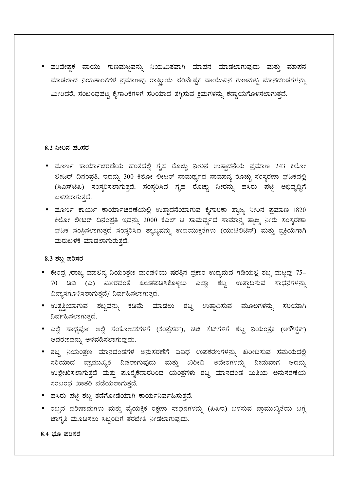● ಪರಿವೇಷ್ಷಕ ವಾಯು ಗುಣಮಟ್ಟವನ್ನು ನಿಯಮಿತವಾಗಿ ಮಾಪನ ಮಾಡಲಾಗುವುದು ಮತ್ತು ಮಾಪನ ಮಾಡಲಾದ ನಿಯತಾಂಕಗಳ ಪ್ರಮಾಣವು ರಾಷ್ಟ್ರೀಯ ಪರಿವೇಷ್ಟಕ ವಾಯುವಿನ ಗುಣಮಟ್ಟ ಮಾನದಂಡಗಳನ್ನು ಮೀರಿದರೆ, ಸಂಬಂಧಪಟ್ಟ ಕೈಗಾರಿಕೆಗಳಿಗೆ ಸರಿಯಾದ ತಗ್ಗಿಸುವ ಕ್ರಮಗಳನ್ನು ಕಡ್ಡಾಯಗೊಳಿಸಲಾಗುತ್ತದೆ.

#### 8.2 ನೀರಿನ ಪರಿಸರ

- ಪೂರ್ಣ ಕಾರ್ಯಾಚರಣೆಯ ಹಂತದಲ್ಲಿ ಗೃಹ ರೊಚ್ಚು ನೀರಿನ ಉತ್ಪಾದನೆಯ ಪ್ರಮಾಣ 243 ಕಿಲೋ ಲೀಟರ್ ದಿನಂಪ್ರತಿ, ಇದನ್ನು 300 ಕಿಲೋ ಲೀಟರ್ ಸಾಮರ್ಥ್ಯದ ಸಾಮಾನ್ಯ ರೊಚ್ಚು ಸಂಸ್ಕರಣಾ ಘಟಕದಲ್ಲಿ (ಸಿಎಸ್ಟಿಪಿ) ಸಂಸ್ಕರಿಸಲಾಗುತ್ತದೆ. ಸಂಸ್ಕರಿಸಿದ ಗೃಹ ರೊಚ್ಚು ನೀರನ್ನು ಹಸಿರು ಪಟ್ಟಿ ಅಭಿವೃದ್ಧಿಗೆ ಬಳಸಲಾಗುತ್ತದೆ.
- ಪೂರ್ಣ ಕಾರ್ಯ ಕಾರ್ಯಾಚರಣೆಯಲ್ಲಿ ಉತ್ಪಾದನೆಯಾಗುವ ಕೈಗಾರಿಕಾ ತ್ಯಾಜ್ಯ ನೀರಿನ ಪ್ರಮಾಣ 1820 ಕಿಲೋ ಲೀಟರ್ ದಿನಂಪ್ರತಿ ಇದನ್ನು 2000 ಕೆಎಲ್ ಡಿ ಸಾಮರ್ಥ್ಯದ ಸಾಮಾನ್ಯ ತ್ಯಾಜ್ಯ ನೀರು ಸಂಸ್ಕರಣಾ ಘಟಕ ಸಂಸ್ರಿಸಲಾಗುತ್ತದೆ ಸಂಸ್ಕರಿಸಿದ ತ್ಯಾಜ್ಯವನ್ನು ಉಪಯುಕ್ತತೆಗಳು (ಯುಟಿಲಿಟಿಸ್) ಮತ್ತು ಪ್ರಕ್ರಿಯೆಗಾಗಿ ಮರುಬಳಕೆ ಮಾಡಲಾಗುರುತದೆ.

## 8.3 ಶಬ್ದ ಪರಿಸರ

- ಕೇಂದ್ರ /ರಾಜ್ಯ ಮಾಲಿನ್ಯ ನಿಯಂತ್ರಣ ಮಂಡಳಿಯ ಷರತ್ತಿನ ಪ್ರಕಾರ ಉದ್ಯಮದ ಗಡಿಯಲ್ಲಿ ಶಬ್ದ ಮಟ್ಟವು 75– 70 ಡಿಬಿ (ಎ) ಮೀರದಂತೆ ಖಚಿತಪಡಿಸಿಕೊಳ್ಳಲು ಎಲ್ಲಾ ಶಬ್ದ ಉತ್ಪಾದಿಸುವ ಸಾಧನಗಳನ್ನು ವಿನ್ಯಾಸಗೊಳಿಸಲಾಗುತ್ತದೆ/ ನಿರ್ವಹಿಸಲಾಗುತ್ತದೆ.
- ಉತ್ಪತ್ತಿಯಾಗುವ ಶಬ್ದವನ್ನು ಕಡಿಮೆ ಮಾಡಲು ಶಬ್ದ ಉತ್ಪಾದಿಸುವ ಮೂಲಗಳನ್ನು ಸರಿಯಾಗಿ ನಿರ್ವಹಿಸಲಾಗುತದೆ.
- ಎಲ್ಲಿ ಸಾಧ್ಯವೋ ಅಲ್ಲಿ ಸಂಕೋಚಕಗಳಿಗೆ (ಕಂಪ್ರೆಸರ್), ಡಿಜಿ ಸೆಟ್ಗಳಿಗೆ ಶಬ್ದ ನಿಯಂತ್ರಕ (ಅಕೌಸ್ಟ್) ಆವರಣವನ್ನು ಅಳವಡಿಸಲಾಗುವುದು.
- ಶಬ್ದ ನಿಯಂತ್ರಣ ಮಾನದಂಡಗಳ ಅನುಸರಣೆಗೆ ವಿವಿಧ ಉಪಕರಣಗಳನ್ನು ಖರೀದಿಸುವ ಸಮಯದಲ್ಲಿ ಸರಿಯಾದ ಪ್ರಾಮುಖ್ಯತೆ ನಿಡಲಾಗುವುದು ಮತ್ತು ಖರೀದಿ ಆದೇಶಗಳನ್ನು ನೀಡುವಾಗ ಅದನ್ನು ಉಲ್ಲೇಖಿಸಲಾಗುತ್ತದೆ ಮತ್ತು ಪೂರೈಕೆದಾರರಿಂದ ಯಂತ್ರಗಳು ಶಬ್ದ ಮಾನದಂಡ ಮಿತಿಯ ಅನುಸರಣೆಯ ಸಂಬಂಧ ಖಾತರಿ ಪಡೆಯಲಾಗುತ್ತದೆ.
- ಹಸಿರು ಪಟ್ಟಿ ಶಬ್ದ ತಡೆಗೋಡೆಯಾಗಿ ಕಾರ್ಯನಿರ್ವಹಿಸುತ್ತದೆ.
- ಶಬ್ದದ ಪರಿಣಾಮಗಳು ಮತ್ತು ವೈಯಕ್ತಿಕ ರಕ್ಷಣಾ ಸಾಧನಗಳನ್ನು (ಪಿಪಿಇ) ಬಳಸುವ ಪ್ರಾಮುಖ್ಯತೆಯ ಬಗ್ಗೆ ಜಾಗೃತಿ ಮೂಡಿಸಲು ಸಿಬ್ಬಂದಿಗೆ ತರಬೇತಿ ನೀಡಲಾಗುವುದು.

## **8.4 ಭೂ ಪರಿಸರ**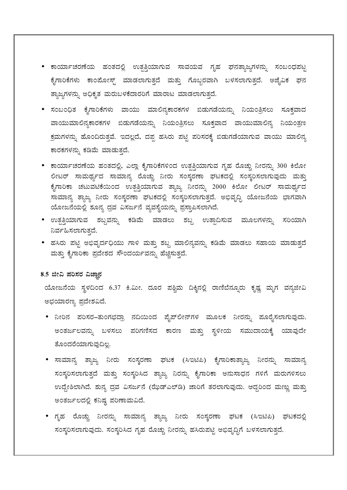- ಕಾರ್ಯಾಚರಣೆಯ ಹಂತದಲ್ಲಿ ಉತ್ಪತ್ತಿಯಾಗುವ ಸಾವಯವ ಗೃಹ ಘನತ್ಯಾಜ್ಯಗಳನ್ನು ಸಂಬಂಧಪಟ್ಟ ಕೈಗಾರಿಕೆಗಳು ಕಾಂಪೋಸ್ಟ್ ಮಾಡಲಾಗುತ್ತದೆ ಮತ್ತು ಗೊಬ್ಬರವಾಗಿ ಬಳಸಲಾಗುತ್ತದೆ. ಅಜೈವಿಕ ಘನ ತ್ಯಾಜ್ಯಗಳನ್ನು ಅಧಿಕೃತ ಮರುಬಳಕೆದಾರರಿಗೆ ಮಾರಾಟ ಮಾಡಲಾಗುತ್ತದೆ.
- ಸಂಬಂಧಿತ ಕೈಗಾರಿಕೆಗಳು ವಾಯು ಮಾಲಿನ್ಯಕಾರಕಗಳ ಬಿಡುಗಡೆಯನ್ನು ನಿಯಂತ್ರಿಸಲು ಸೂಕ್ತವಾದ ವಾಯುಮಾಲಿನ್ಯಕಾರಕಗಳ ಬಿಡುಗಡೆಯನ್ನು ನಿಯಂತ್ರಿಸಲು ಸೂಕ್ತವಾದ ವಾಯುಮಾಲಿನ್ಯ ನಿಯಂತ್ರಣ ಕ್ರಮಗಳನ್ನು ಹೊಂದಿರುತ್ತವೆ. ಇದಲ್ಲದೆ, ದಪ್ಪ ಹಸಿರು ಪಟ್ಟಿ ಪರಿಸರಕ್ಕೆ ಬಿಡುಗಡೆಯಾಗುವ ವಾಯು ಮಾಲಿನ್ಯ ಕಾರಕಗಳನ್ನು ಕಡಿಮೆ ಮಾಡುತ್ತದೆ.
- ಕಾರ್ಯಾಚರಣೆಯ ಹಂತದಲ್ಲಿ, ಎಲ್ಲಾ ಕೈಗಾರಿಕೆಗಳಿಂದ ಉತ್ಪತ್ತಿಯಾಗುವ ಗೃಹ ರೊಚ್ಚು ನೀರನ್ನು 300 ಕಿಲೋ ಲೀಟರ್ ಸಾಮರ್ಥ್ಯದ ಸಾಮಾನ್ಯ ರೊಚ್ಚು ನೀರು ಸಂಸ್ಕರಣಾ ಘಟಕದಲ್ಲಿ ಸಂಸ್ಕರಿಸಲಾಗುವುದು ಮತ್ತು ಕೈಗಾರಿಕಾ ಚಟುವಟಿಕೆಯಿಂದ ಉತ್ಪತ್ತಿಯಾಗುವ ತ್ಯಾಜ್ಯ ನೀರನ್ನು 2000 ಕಿಲೋ ಲೀಟರ್ ಸಾಮರ್ಥ್ಯದ ಸಾಮಾನ್ಯ ತ್ಯಾಜ್ಯ ನೀರು ಸಂಸ್ಕರಣಾ ಘಟಕದಲ್ಲಿ ಸಂಸ್ಕರಿಸಲಾಗುತ್ತದೆ. ಅಭಿವೃದ್ಧಿ ಯೋಜನೆಯ ಭಾಗವಾಗಿ ಯೋಜನೆಯಲ್ಲಿ ಶೂನ್ಯ ದ್ರವ ವಿಸರ್ಜನೆ ವ್ಯವಸ್ಥೆಯನ್ನು ಪ್ರಸ್ತಾಪಿಸಲಾಗಿದೆ.
- ಉತ್ಪತ್ತಿಯಾಗುವ ಶಬ್ದವನ್ನು ಕಡಿಮೆ ಮಾಡಲು ಶಬ್ದ ಉತ್ಪಾದಿಸುವ ಮೂಲಗಳನ್ನು ಸರಿಯಾಗಿ ನಿರ್ವಹಿಸಲಾಗುತ್ತದೆ.
- ಹಸಿರು ಪಟ್ಟಿ ಅಭಿವೃರ್ದಧಿಯು ಗಾಳಿ ಮತ್ತು ಶಬ್ದ ಮಾಲಿನ್ಯವನ್ನು ಕಡಿಮೆ ಮಾಡಲು ಸಹಾಯ ಮಾಡುತ್ತದೆ ಮತ್ತು ಕೈಗಾರಿಕಾ ಪ್ರದೇಶದ ಸೌಂದರ್ಯವನ್ನು ಹೆಚ್ಚಿಸುತ್ತದೆ.

#### 8.5 ಜೀವಿ ಪರಿಸರ ವಿಜ್ಞಾನ

ಯೋಜನೆಯ ಸ್ಥಳದಿಂದ 6.37 ಕಿ.ಮೀ. ದೂರ ಪಶ್ಚಿಮ ದಿಕ್ಕಿನಲ್ಲಿ ರಾಣಿಬೆನ್ನೂರು ಕೃಷ್ಣ ಮೃಗ ವನ್ಯಜೀವಿ ಅಭಯಾರಣ್ಯ ಪ್ರದೇಶವಿದೆ.

- ನೀರಿನ ಪರಿಸರ–ತುಂಗಭದ್ರಾ ನದಿಯಿಂದ ಪೈಪ್ಲೀನ್ಗಳ ಮೂಲಕ ನೀರನ್ನು ಪೂರೈಸಲಾಗುವುದು. ಅಂತರ್ಜಲವನ್ನು ಬಳಸಲು ಪರಿಗಣಿಸದ ಕಾರಣ ಮತ್ತು ಸ್ಥಳೀಯ ಸಮುದಾಯಕ್ಕೆ ಯಾವುದೇ ತೊಂದರೆಯಾಗುವುದಿಲ್ಲ.
- ಸಾಮಾನ್ಯ ತ್ಯಾಜ್ಯ ನೀರು ಸಂಸ್ಕರಣಾ ಘಟಕ (ಸಿಇಟಿಪಿ) ಕೈಗಾರಿಕಾತ್ಯಾಜ್ಯ ನೀರನ್ನು ಸಾಮಾನ್ಯ ಸಂಸ್ಕರಿಸಲಾಗುತ್ತದೆ ಮತ್ತು ಸಂಸ್ಕರಿಸಿದ ತ್ಯಾಜ್ಯ ನಿರನ್ನು ಕೈಗಾರಿಕಾ ಅನುಸಾಧನ ಗಳಿಗೆ ಮರುಗಳಿಸಲು ಉದ್ದೇಶಿಲಾಗಿದೆ. ಶುನ್ಯ ದ್ರವ ವಿಸರ್ಜನೆ (ಝೆಡ್ಎಲ್ಡಿ) ಜಾರಿಗೆ ತರಲಾಗುವುದು. ಆದ್ದರಿಂದ ಮಣ್ಣು ಮತ್ತು ಅಂತರ್ಜಲದಲ್ಲಿ ಕನಿಷ್ಠ ಪರಿಣಾಮವಿದೆ.
- ಗೃಹ ರೊಚ್ಚು ನೀರನ್ನು ಸಾಮಾನ್ಯ ತ್ಯಾಜ್ಯ ನೀರು ಸಂಸ್ಕರಣಾ ಘಟಕ (ಸಿಇಟಿಪಿ) ಘಟಕದಲ್ಲಿ ಸಂಸ್ಕರಿಸಲಾಗುವುದು. ಸಂಸ್ಕರಿಸಿದ ಗೃಹ ರೊಚ್ಚು ನೀರನ್ನು ಹಸಿರುಪಟ್ಟಿ ಅಭಿವೃದ್ಧಿಗೆ ಬಳಸಲಾಗುತ್ತದೆ.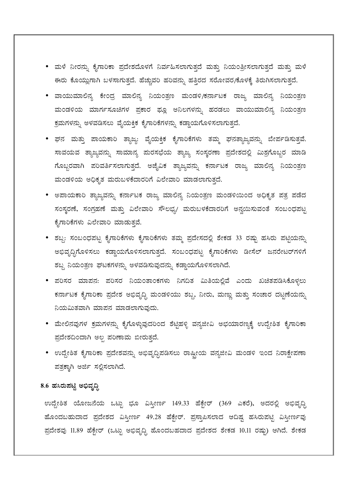- ಮಳೆ ನೀರನ್ನು ಕೈಗಾರಿಕಾ ಪ್ರದೇಶದೊಳಗೆ ನಿರ್ವಹಿಸಲಾಗುತ್ತದೆ ಮತ್ತು ನಿಯಂತ್ರೀಸಲಾಗುತ್ತದೆ ಮತ್ತು ಮಳೆ ಈರು ಕೊಯ್ಲುಗಾಗಿ ಬಳಸಾಗುತ್ತದೆ. ಹೆಚ್ಚುವರಿ ಹರಿವನ್ನು ಹತ್ತಿರದ ಸರೋವರ/ಕೊಳಕ್ಕೆ ತಿರುಗಿಸಲಾಗುತ್ತದೆ.
- ವಾಯುಮಾಲಿನ್ಯ ಕೇಂದ್ರ ಮಾಲಿನ್ಯ ನಿಯಂತ್ರಣ ಮಂಡಳಿ/ಕರ್ನಾಟಕ ರಾಜ್ಯ ಮಾಲಿನ್ಯ ನಿಯಂತ್ರಣ ಮಂಡಳಿಯ ಮಾರ್ಗಸೂಚಿಗಳ ಪ್ರಕಾರ ಫ್ಲೂ ಅನಿಲಗಳನ್ನು ಹರಡಲು ವಾಯುಮಾಲಿನ್ಯ ನಿಯಂತ್ರಣ ಕ್ರಮಗಳನ್ನು ಅಳವಡಿಸಲು ವೈಯಕ್ತಿಕ ಕೈಗಾರಿಕೆಗಳನ್ನು ಕಡ್ಡಾಯಗೊಳಿಸಲಾಗುತ್ತದೆ.
- ಘನ ಮತ್ತು ಪಾಯಕಾರಿ ತ್ಯಾಜ್ಯ: ವೈಯಕ್ತಿಕ ಕೈಗಾರಿಕೆಗಳು ತಮ್ಮ ಘನತ್ಯಾಜ್ಯವನ್ನು ಬೇರ್ಪಡಿಸುತ್ತವೆ. ಸಾವಯವ ತ್ಯಾಜ್ಯವನ್ನು ಸಾಮಾನ್ಯ ಮರಸಭೆಯ ತ್ಯಾಜ್ಯ ಸಂಸ್ಕರಣಾ ಪ್ರದೇಶದಲ್ಲಿ ಮಿಶ್ರಗೊಬ್ಬರ ಮಾಡಿ ಗೊಬ್ಬರವಾಗಿ ಪರಿವರ್ತಿಸಲಾಗುತ್ತದೆ. ಅಜೈವಿಕ ತ್ಯಾಜ್ಯವನ್ನು ಕರ್ನಾಟಕ ರಾಜ್ಯ ಮಾಲಿನ್ಯ ನಿಯಂತ್ರಣ ಮಂಡಳಿಯ ಅಧಿಕೃತ ಮರುಬಳಕೆದಾರರಿಗೆ ವಿಲೇವಾರಿ ಮಾಡಲಾಗುತ್ತದೆ.
- ಅಪಾಯಕಾರಿ ತ್ಯಾಜ್ಯವನ್ನು ಕರ್ನಾಟಕ ರಾಜ್ಯ ಮಾಲಿನ್ಯ ನಿಯಂತ್ರಣ ಮಂಡಳಿಯಿಂದ ಅಧಿಕೃತ ಪತ್ರ ಪಡೆದ ಸಂಸ್ಕರಣೆ, ಸಂಗ್ರಹಣೆ ಮತ್ತು ವಿಲೇವಾರಿ ಸೌಲಭ್ಯ/ ಮರುಬಳಕೆದಾರರಿಗೆ ಅನ್ವಯಿಸುವಂತೆ ಸಂಬಂಧಪಟ್ಟ ಕೈಗಾರಿಕೆಗಳು ವಿಲೇವಾರಿ ಮಾಡುತ್ತವೆ.
- ಶಬ್ದ: ಸಂಬಂಧಪಟ್ಟ ಕೈಗಾರಿಕೆಗಳು ಕೈಗಾರಿಕೆಗಳು ತಮ್ಮ ಪ್ರದೇಸದಲ್ಲಿ ಶೇಕಡ 33 ರಷ್ಟು ಹಸಿರು ಪಟ್ಟಿಯನ್ನು ಅಭಿವೃದ್ಧಿಗೊಳಿಸಲು ಕಡ್ಡಾಯಗೊಳಿಸಲಾಗುತ್ತದೆ. ಸಂಬಂಧಪಟ್ಟ ಕೈಗಾರಿಕೆಗಳು ಡೀಸೆಲ್ ಜನರೇಟರ್ಗಳಿಗೆ ಶಬ್ದ ನಿಯಂತ್ರಣ ಘಟಕಗಳನ್ನು ಅಳವಡಿಸುವುದನ್ನು ಕಡ್ಡಾಯಗೊಳಿಸಲಾಗಿದೆ.
- ಪರಿಸರ ಮಾಪನ: ಪರಿಸರ ನಿಯಂತಾಂಕಗಳು ನಿಗದಿತ ಮಿತಿಯಲ್ಲಿವೆ ಎಂದು ಖಚಿತಪಡಿಸಿಕೊಳ್ಳಲು ಕರ್ನಾಟಕ ಕೈಗಾರಿಕಾ ಪ್ರದೇಶ ಅಭಿವೃದ್ಧಿ ಮಂಡಳಿಯು ಶಬ್ದ, ನೀರು, ಮಣ್ಣು ಮತ್ತು ಸಂಚಾರ ದಟ್ಟಣೆಯನ್ನು ನಿಯಮಿತವಾಗಿ ಮಾಪನ ಮಾಡಲಾಗುವುದು.
- ಮೇಲಿನವುಗಳ ಕ್ರಮಗಳನ್ನು ಕೈಗೊಳ್ಳುವುದರಿಂದ ಶೆಟ್ಟಿಹಳ್ಳಿ ವನ್ಯಜೀವಿ ಅಭಯಾರಣ್ಯಕ್ಕೆ ಉದ್ದೇಶಿತ ಕೈಗಾರಿಕಾ ಪ್ರದೇಶದಿಂದಾಗಿ ಅಲ್ಪ ಪರಿಣಾಮ ಬೀರುತ್ತದೆ.
- ಉದ್ದೇಶಿತ ಕೈಗಾರಿಕಾ ಪ್ರದೇಶವನ್ನು ಅಭಿವೃದ್ಧಿಪಡಿಸಲು ರಾಷ್ಟ್ರೀಯ ವನ್ಯಜೀವಿ ಮಂಡಳಿ ಇಂದ ನಿರಾಕ್ಷೇಪಣಾ ಪತ್ರಕ್ಕಾಗಿ ಅರ್ಜಿ ಸಲ್ಲಿಸಲಾಗಿದೆ.

## 8.6 ಹಸಿರುಪಟ್ಟಿ ಅಭಿವೃದ್ಧಿ

ಉದ್ದೇಶಿತ ಯೋಜನೆಯ ಒಟ್ಟು ಭೂ ವಿಸ್ತೀರ್ಣ 149.33 ಹೆಕ್ಟೇರ್ (369 ಎಕರೆ), ಅದರಲ್ಲಿ ಅಭಿವೃದ್ಧಿ ಹೊಂದಬಹುದಾದ ಪ್ರದೇಶದ ವಿಸ್ತೀರ್ಣ 49.28 ಹೆಕ್ಟೇರ್. ಪ್ರಸ್ತಾಪಿಸಲಾದ ಆದಿಷ್ಟ ಹಸಿರುಪಟ್ಟಿ ವಿಸ್ತೀರ್ಣವು ಪ್ರದೇಶವು 11.89 ಹೆಕ್ಟೇರ್ (ಒಟ್ಟು ಅಭಿವೃದ್ಧಿ ಹೊಂದಬಹದಾದ ಪ್ರದೇಶದ ಶೇಕಡ 10.11 ರಷ್ಟು) ಆಗಿದೆ. ಶೇಕಡ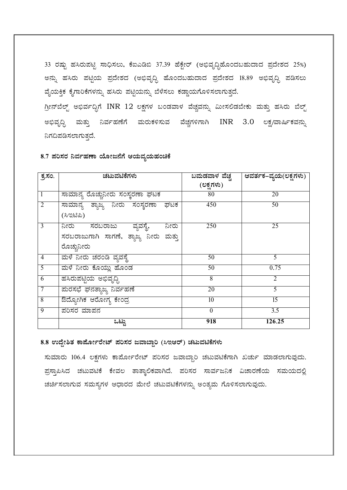33 ರಷ್ಟು ಹಸಿರುಪಟ್ಟಿ ಸಾಧಿಸಲು, ಕೆಐಎಡಿಬಿ 37.39 ಹೆಕ್ಟೇರ್ (ಅಭಿವೃದ್ಧಿಹೊಂದಬಹುದಾದ ಪ್ರದೇಶದ 25%) ಅನ್ನು ಹಸಿರು ಪಟ್ಟಿಯ ಪ್ರದೇಶದ (ಅಭಿವೃದ್ಧಿ ಹೊಂದಬಹುದಾದ ಪ್ರದೇಶದ 18.89 ಅಭಿವೃದ್ಧಿ ಪಡಿಸಲು ವೈಯಕ್ತಿಕ ಕೈಗಾರಿಕೆಗಳನ್ನು ಹಸಿರು ಪಟ್ಟಿಯನ್ನು ಬೆಳೆಸಲು ಕಡ್ಡಾಯಗೊಳಿಸಲಾಗುತ್ತದೆ.

ಗ್ರೀನ್ಬೆಲ್ಟ್ ಅಭಿರ್ವದ್ದಿಗೆ INR 12 ಲಕ್ಷಗಳ ಬಂಡವಾಳ ವೆಚ್ಚವನ್ನು ಮೀಸಲಿಡಬೇಕು ಮತ್ತು ಹಸಿರು ಬೆಲ್ಟ್ ಅಭಿವೃದ್ಧಿ ಮತ್ತು ನಿರ್ವಹಣೆಗೆ ಮರುಕಳಿಸುವ ವೆಚ್ಚಗಳಿಗಾಗಿ INR 3.0 ಲಕ್ಷ/ವಾರ್ಷಿಕವನ್ನು ನಿಗದಿಪಡಿಸಲಾಗುತ್ತದೆ.

| <u>ಕ್ಕಸಂ.</u>  | ಚಟುವಟಿಕೆಗಳು                           | ಬಮಡವಾಳ ವೆಚ್ಚ    | ಆವರ್ತಕ–ವ್ಯಯ(ಲಕ್ಷಗಳು) |
|----------------|---------------------------------------|-----------------|----------------------|
|                |                                       | (ಲಕ್ಷಗಳು)       |                      |
| $\mathbf{1}$   | ಸಾಮಾನ್ಯ ರೊಚ್ಚುನೀರು ಸಂಸ್ತರಣಾ ಘಟಕ       | $\overline{80}$ | 20                   |
| $\overline{2}$ | ಸಾಮಾನ್ಯ ತ್ಯಾಜ್ಯ ನೀರು ಸಂಸ್ತರಣಾ ಘಟಕ     | 450             | 50                   |
|                | (ಸಿಇಟಿಪಿ)                             |                 |                      |
| 3              | ನೀರು ಸರಬರಾಜು ವ್ಯವಸ್ಥೆ,<br>ನೀರು        | 250             | 25                   |
|                | ಸರಬರಾಜುಗಾಗಿ ಸಾಗಣೆ, ತ್ಯಾಜ್ಯ ನೀರು ಮತ್ತು |                 |                      |
|                | ರೊಚ್ಚುನೀರು                            |                 |                      |
| 4              | ಮಳೆ ನೀರು ಚರಂಡಿ ವ್ಯವಸ್ಥೆ               | 50              | 5                    |
| 5              | ಮಳೆ ನೀರು ಕೊಯ್ಲು ಹೊಂಡ                  | 50              | 0.75                 |
| 6              | ಹಸಿರುಪಟ್ಟಿಯ ಅಭಿವೃದ್ಧಿ                 | $\overline{8}$  | $\overline{2}$       |
| 7              | ಮರಸಭೆ ಘನತ್ಯಾಜ್ಯ ನಿರ್ವಹಣೆ              | 20              | 5                    |
| 8              | <u>ಔದ್ಯೋಗಿಕ ಆರೋಗ್ಯ ಕೇಂದ್ರ</u>         | $\overline{10}$ | $\overline{15}$      |
| 9              | ಪರಿಸರ ಮಾಪನ                            | $\mathbf{0}$    | $\overline{3.5}$     |
|                | ಒಟ್ಟು                                 | 918             | 126.25               |

8.7 ಪರಿಸರ ನಿರ್ವಹಣಾ ಯೋಜನೆಗೆ ಆಯವ್ನಯಹಂಚಿಕೆ

## 8.8 ಉದ್ದೇಶಿತ ಕಾರ್ಮೋರೇಟ್ ಪರಿಸರ ಜವಾಬ್ದಾರಿ (ಸಿಇಆರ್) ಚಟುವಟಿಕೆಗಳು

ಸುಮಾರು 106.4 ಲಕ್ಷಗಳು ಕಾರ್ಮೋರೇಟ್ ಪರಿಸರ ಜವಾಬ್ದಾರಿ ಚಟುವಟಿಕೆಗಾಗಿ ಖರ್ಚು ಮಾಡಲಾಗುವುದು. ಪ್ರಸ್ತಾಪಿಸಿದ ಚಟುವಟಿಕೆ ಕೇವಲ ತಾತ್ಕಾಲಿಕವಾಗಿದೆ. ಪರಿಸರ ಸಾರ್ವಜನಿಕ ವಿಚಾರಣೆಯ ಸಮಯದಲ್ಲಿ ಚರ್ಚಿಸಲಾಗುವ ಸಮಸ್ಯಗಳ ಆಧಾರದ ಮೇಲೆ ಚಟುವಟಿಕೆಗಳನ್ನು ಅಂತ್ಯಮ ಗೊಳಿಸಲಾಗುವುದು.